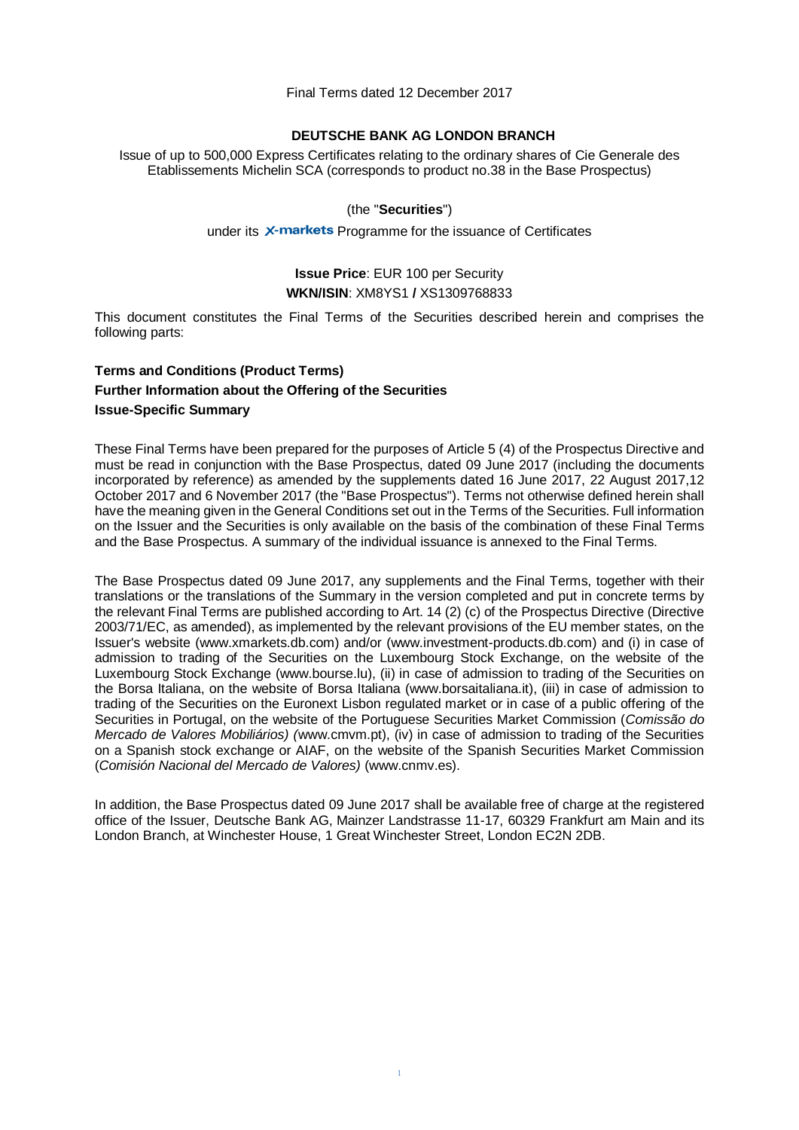Final Terms dated 12 December 2017

### **DEUTSCHE BANK AG LONDON BRANCH**

Issue of up to 500,000 Express Certificates relating to the ordinary shares of Cie Generale des Etablissements Michelin SCA (corresponds to product no.38 in the Base Prospectus)

### (the "**Securities**")

#### under its X-markets Programme for the issuance of Certificates

## **Issue Price**: EUR 100 per Security **WKN/ISIN**: XM8YS1 **/** XS1309768833

This document constitutes the Final Terms of the Securities described herein and comprises the following parts:

# **Terms and Conditions (Product Terms) Further Information about the Offering of the Securities Issue-Specific Summary**

These Final Terms have been prepared for the purposes of Article 5 (4) of the Prospectus Directive and must be read in conjunction with the Base Prospectus, dated 09 June 2017 (including the documents incorporated by reference) as amended by the supplements dated 16 June 2017, 22 August 2017,12 October 2017 and 6 November 2017 (the "Base Prospectus"). Terms not otherwise defined herein shall have the meaning given in the General Conditions set out in the Terms of the Securities. Full information on the Issuer and the Securities is only available on the basis of the combination of these Final Terms and the Base Prospectus. A summary of the individual issuance is annexed to the Final Terms.

The Base Prospectus dated 09 June 2017, any supplements and the Final Terms, together with their translations or the translations of the Summary in the version completed and put in concrete terms by the relevant Final Terms are published according to Art. 14 (2) (c) of the Prospectus Directive (Directive 2003/71/EC, as amended), as implemented by the relevant provisions of the EU member states, on the Issuer's website (www.xmarkets.db.com) and/or (www.investment-products.db.com) and (i) in case of admission to trading of the Securities on the Luxembourg Stock Exchange, on the website of the Luxembourg Stock Exchange (www.bourse.lu), (ii) in case of admission to trading of the Securities on the Borsa Italiana, on the website of Borsa Italiana (www.borsaitaliana.it), (iii) in case of admission to trading of the Securities on the Euronext Lisbon regulated market or in case of a public offering of the Securities in Portugal, on the website of the Portuguese Securities Market Commission (*Comissão do Mercado de Valores Mobiliários) (*www.cmvm.pt), (iv) in case of admission to trading of the Securities on a Spanish stock exchange or AIAF, on the website of the Spanish Securities Market Commission (*Comisión Nacional del Mercado de Valores)* [\(www.cnmv.es\)](http://www.cnmv.es/).

In addition, the Base Prospectus dated 09 June 2017 shall be available free of charge at the registered office of the Issuer, Deutsche Bank AG, Mainzer Landstrasse 11-17, 60329 Frankfurt am Main and its London Branch, at Winchester House, 1 Great Winchester Street, London EC2N 2DB.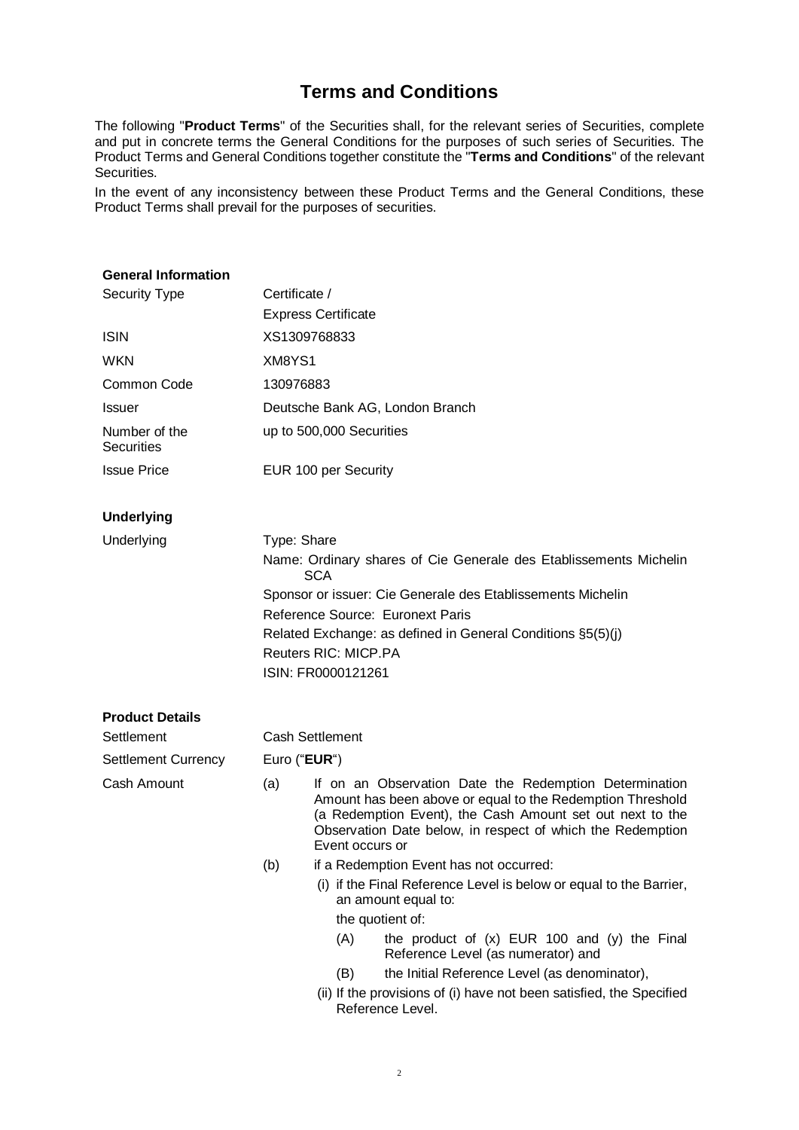# **Terms and Conditions**

The following "**Product Terms**" of the Securities shall, for the relevant series of Securities, complete and put in concrete terms the General Conditions for the purposes of such series of Securities. The Product Terms and General Conditions together constitute the "**Terms and Conditions**" of the relevant Securities.

In the event of any inconsistency between these Product Terms and the General Conditions, these Product Terms shall prevail for the purposes of securities.

### **General Information**

| <b>Security Type</b>               | Certificate /                    |                                                                                                                                                                                                                                                                    |                                                                                           |  |  |  |
|------------------------------------|----------------------------------|--------------------------------------------------------------------------------------------------------------------------------------------------------------------------------------------------------------------------------------------------------------------|-------------------------------------------------------------------------------------------|--|--|--|
|                                    |                                  | <b>Express Certificate</b>                                                                                                                                                                                                                                         |                                                                                           |  |  |  |
| <b>ISIN</b>                        |                                  | XS1309768833                                                                                                                                                                                                                                                       |                                                                                           |  |  |  |
| <b>WKN</b>                         | XM8YS1                           |                                                                                                                                                                                                                                                                    |                                                                                           |  |  |  |
| Common Code                        | 130976883                        |                                                                                                                                                                                                                                                                    |                                                                                           |  |  |  |
| <b>Issuer</b>                      |                                  |                                                                                                                                                                                                                                                                    | Deutsche Bank AG, London Branch                                                           |  |  |  |
| Number of the<br><b>Securities</b> |                                  |                                                                                                                                                                                                                                                                    | up to 500,000 Securities                                                                  |  |  |  |
| <b>Issue Price</b>                 |                                  |                                                                                                                                                                                                                                                                    | EUR 100 per Security                                                                      |  |  |  |
| <b>Underlying</b>                  |                                  |                                                                                                                                                                                                                                                                    |                                                                                           |  |  |  |
| Underlying                         |                                  | Type: Share<br>Name: Ordinary shares of Cie Generale des Etablissements Michelin<br><b>SCA</b>                                                                                                                                                                     |                                                                                           |  |  |  |
|                                    |                                  |                                                                                                                                                                                                                                                                    | Sponsor or issuer: Cie Generale des Etablissements Michelin                               |  |  |  |
|                                    | Reference Source: Euronext Paris |                                                                                                                                                                                                                                                                    |                                                                                           |  |  |  |
|                                    |                                  | Related Exchange: as defined in General Conditions §5(5)(j)<br><b>Reuters RIC: MICP.PA</b>                                                                                                                                                                         |                                                                                           |  |  |  |
|                                    |                                  | ISIN: FR0000121261                                                                                                                                                                                                                                                 |                                                                                           |  |  |  |
| <b>Product Details</b>             |                                  |                                                                                                                                                                                                                                                                    |                                                                                           |  |  |  |
| Settlement                         |                                  | <b>Cash Settlement</b>                                                                                                                                                                                                                                             |                                                                                           |  |  |  |
| <b>Settlement Currency</b>         |                                  | Euro (" <b>EUR</b> ")                                                                                                                                                                                                                                              |                                                                                           |  |  |  |
| Cash Amount                        | (a)                              | If on an Observation Date the Redemption Determination<br>Amount has been above or equal to the Redemption Threshold<br>(a Redemption Event), the Cash Amount set out next to the<br>Observation Date below, in respect of which the Redemption<br>Event occurs or |                                                                                           |  |  |  |
|                                    | (b)                              |                                                                                                                                                                                                                                                                    | if a Redemption Event has not occurred:                                                   |  |  |  |
|                                    |                                  |                                                                                                                                                                                                                                                                    | (i) if the Final Reference Level is below or equal to the Barrier,<br>an amount equal to: |  |  |  |
|                                    |                                  |                                                                                                                                                                                                                                                                    | the quotient of:                                                                          |  |  |  |
|                                    |                                  | (A)                                                                                                                                                                                                                                                                | the product of $(x)$ EUR 100 and $(y)$ the Final<br>Reference Level (as numerator) and    |  |  |  |
|                                    |                                  | (B)                                                                                                                                                                                                                                                                | the Initial Reference Level (as denominator),                                             |  |  |  |
|                                    |                                  |                                                                                                                                                                                                                                                                    | (ii) If the provisions of (i) have not been satisfied, the Specified<br>Reference Level.  |  |  |  |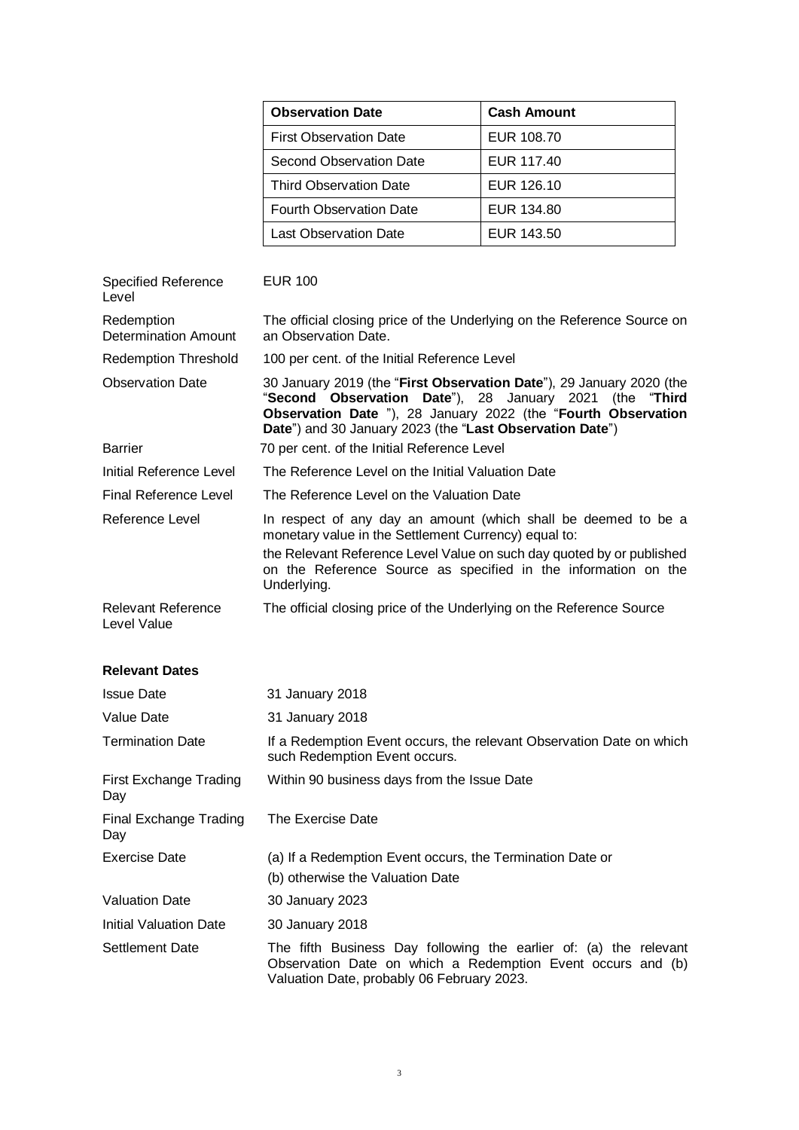| <b>Observation Date</b>        | <b>Cash Amount</b> |  |  |
|--------------------------------|--------------------|--|--|
| <b>First Observation Date</b>  | EUR 108.70         |  |  |
| Second Observation Date        | EUR 117.40         |  |  |
| <b>Third Observation Date</b>  | EUR 126.10         |  |  |
| <b>Fourth Observation Date</b> | EUR 134.80         |  |  |
| Last Observation Date          | EUR 143.50         |  |  |

| <b>Specified Reference</b><br>Level      | <b>EUR 100</b>                                                                                                                                                                                                                                                      |  |  |  |
|------------------------------------------|---------------------------------------------------------------------------------------------------------------------------------------------------------------------------------------------------------------------------------------------------------------------|--|--|--|
| Redemption<br>Determination Amount       | The official closing price of the Underlying on the Reference Source on<br>an Observation Date.                                                                                                                                                                     |  |  |  |
| <b>Redemption Threshold</b>              | 100 per cent. of the Initial Reference Level                                                                                                                                                                                                                        |  |  |  |
| <b>Observation Date</b>                  | 30 January 2019 (the "First Observation Date"), 29 January 2020 (the<br>"Second Observation Date"), 28 January 2021 (the "Third<br><b>Observation Date</b> "), 28 January 2022 (the "Fourth Observation<br>Date") and 30 January 2023 (the "Last Observation Date") |  |  |  |
| <b>Barrier</b>                           | 70 per cent. of the Initial Reference Level                                                                                                                                                                                                                         |  |  |  |
| Initial Reference Level                  | The Reference Level on the Initial Valuation Date                                                                                                                                                                                                                   |  |  |  |
| Final Reference Level                    | The Reference Level on the Valuation Date                                                                                                                                                                                                                           |  |  |  |
| Reference Level                          | In respect of any day an amount (which shall be deemed to be a<br>monetary value in the Settlement Currency) equal to:                                                                                                                                              |  |  |  |
|                                          | the Relevant Reference Level Value on such day quoted by or published<br>on the Reference Source as specified in the information on the<br>Underlying.                                                                                                              |  |  |  |
| <b>Relevant Reference</b><br>Level Value | The official closing price of the Underlying on the Reference Source                                                                                                                                                                                                |  |  |  |

### **Relevant Dates**

| <b>Issue Date</b>             | 31 January 2018                                                                                                                                                                |  |  |  |
|-------------------------------|--------------------------------------------------------------------------------------------------------------------------------------------------------------------------------|--|--|--|
| Value Date                    | 31 January 2018                                                                                                                                                                |  |  |  |
| <b>Termination Date</b>       | If a Redemption Event occurs, the relevant Observation Date on which<br>such Redemption Event occurs.                                                                          |  |  |  |
| First Exchange Trading<br>Day | Within 90 business days from the Issue Date                                                                                                                                    |  |  |  |
| Final Exchange Trading<br>Day | The Exercise Date                                                                                                                                                              |  |  |  |
| <b>Exercise Date</b>          | (a) If a Redemption Event occurs, the Termination Date or<br>(b) otherwise the Valuation Date                                                                                  |  |  |  |
| <b>Valuation Date</b>         | 30 January 2023                                                                                                                                                                |  |  |  |
| Initial Valuation Date        | 30 January 2018                                                                                                                                                                |  |  |  |
| Settlement Date               | The fifth Business Day following the earlier of: (a) the relevant<br>Observation Date on which a Redemption Event occurs and (b)<br>Valuation Date, probably 06 February 2023. |  |  |  |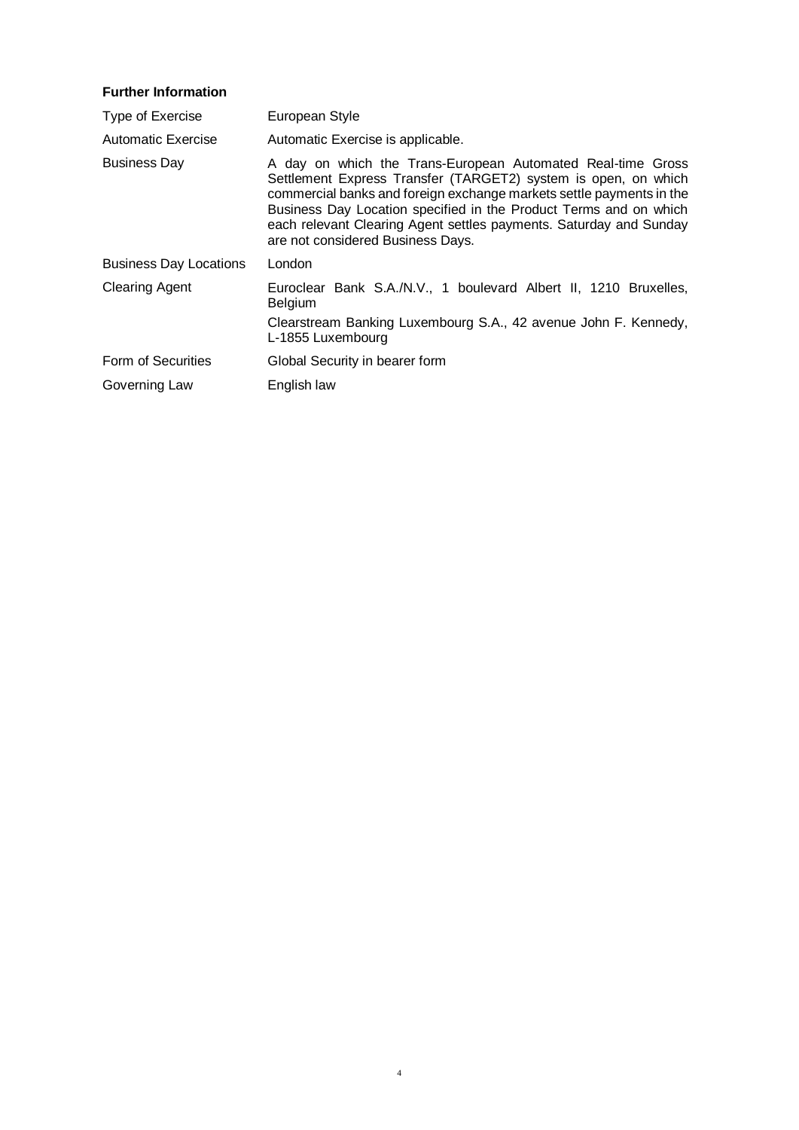## **Further Information**

| Type of Exercise              | European Style                                                                                                                                                                                                                                                                                                                                                                        |
|-------------------------------|---------------------------------------------------------------------------------------------------------------------------------------------------------------------------------------------------------------------------------------------------------------------------------------------------------------------------------------------------------------------------------------|
| Automatic Exercise            | Automatic Exercise is applicable.                                                                                                                                                                                                                                                                                                                                                     |
| <b>Business Day</b>           | A day on which the Trans-European Automated Real-time Gross<br>Settlement Express Transfer (TARGET2) system is open, on which<br>commercial banks and foreign exchange markets settle payments in the<br>Business Day Location specified in the Product Terms and on which<br>each relevant Clearing Agent settles payments. Saturday and Sunday<br>are not considered Business Days. |
| <b>Business Day Locations</b> | London                                                                                                                                                                                                                                                                                                                                                                                |
| <b>Clearing Agent</b>         | Euroclear Bank S.A./N.V., 1 boulevard Albert II, 1210 Bruxelles,<br><b>Belgium</b><br>Clearstream Banking Luxembourg S.A., 42 avenue John F. Kennedy,<br>L-1855 Luxembourg                                                                                                                                                                                                            |
| Form of Securities            | Global Security in bearer form                                                                                                                                                                                                                                                                                                                                                        |
| Governing Law                 | English law                                                                                                                                                                                                                                                                                                                                                                           |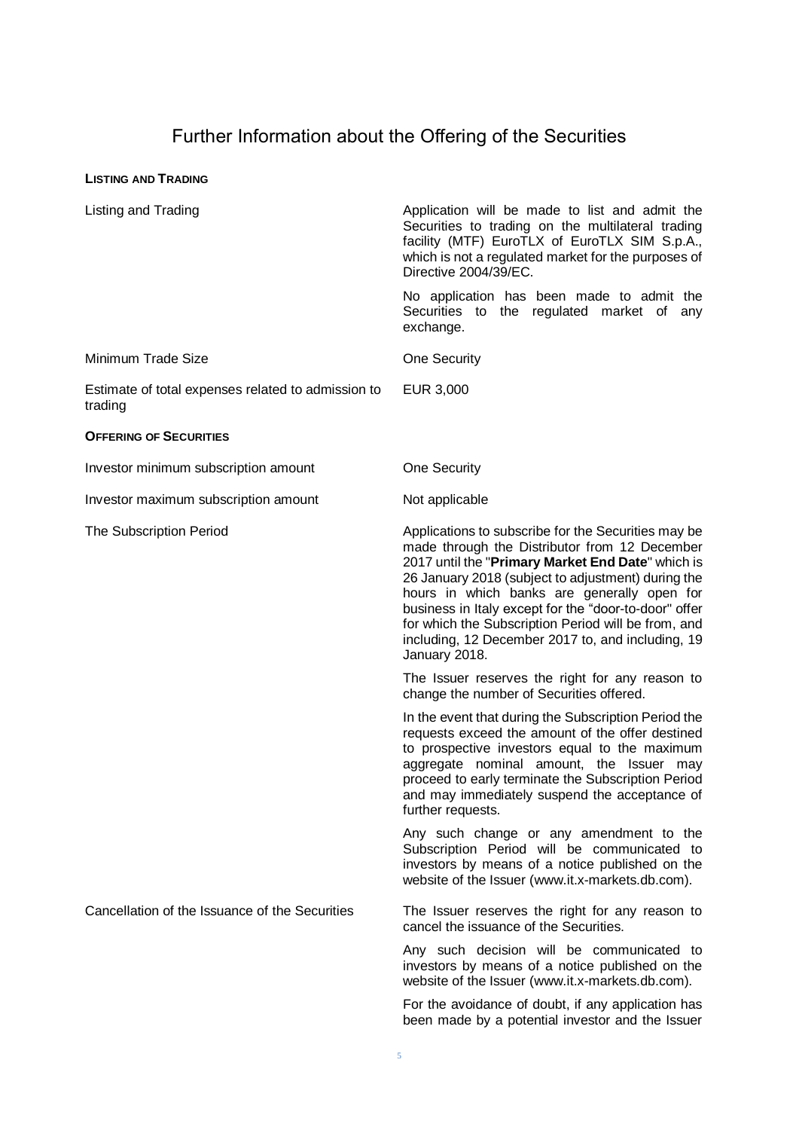# Further Information about the Offering of the Securities

### **LISTING AND TRADING**

| Listing and Trading                                           | Application will be made to list and admit the<br>Securities to trading on the multilateral trading<br>facility (MTF) EuroTLX of EuroTLX SIM S.p.A.,<br>which is not a regulated market for the purposes of<br>Directive 2004/39/EC.                                                                                                                                                                                                                 |  |  |
|---------------------------------------------------------------|------------------------------------------------------------------------------------------------------------------------------------------------------------------------------------------------------------------------------------------------------------------------------------------------------------------------------------------------------------------------------------------------------------------------------------------------------|--|--|
|                                                               | No application has been made to admit the<br>Securities to the regulated market of<br>any<br>exchange.                                                                                                                                                                                                                                                                                                                                               |  |  |
| Minimum Trade Size                                            | <b>One Security</b>                                                                                                                                                                                                                                                                                                                                                                                                                                  |  |  |
| Estimate of total expenses related to admission to<br>trading | EUR 3,000                                                                                                                                                                                                                                                                                                                                                                                                                                            |  |  |
| <b>OFFERING OF SECURITIES</b>                                 |                                                                                                                                                                                                                                                                                                                                                                                                                                                      |  |  |
| Investor minimum subscription amount                          | One Security                                                                                                                                                                                                                                                                                                                                                                                                                                         |  |  |
| Investor maximum subscription amount                          | Not applicable                                                                                                                                                                                                                                                                                                                                                                                                                                       |  |  |
| The Subscription Period                                       | Applications to subscribe for the Securities may be<br>made through the Distributor from 12 December<br>2017 until the "Primary Market End Date" which is<br>26 January 2018 (subject to adjustment) during the<br>hours in which banks are generally open for<br>business in Italy except for the "door-to-door" offer<br>for which the Subscription Period will be from, and<br>including, 12 December 2017 to, and including, 19<br>January 2018. |  |  |
|                                                               | The Issuer reserves the right for any reason to<br>change the number of Securities offered.                                                                                                                                                                                                                                                                                                                                                          |  |  |
|                                                               | In the event that during the Subscription Period the<br>requests exceed the amount of the offer destined<br>to prospective investors equal to the maximum<br>aggregate nominal amount, the Issuer may<br>proceed to early terminate the Subscription Period<br>and may immediately suspend the acceptance of<br>further requests.                                                                                                                    |  |  |
|                                                               | Any such change or any amendment to the<br>Subscription Period will be communicated to<br>investors by means of a notice published on the<br>website of the Issuer (www.it.x-markets.db.com).                                                                                                                                                                                                                                                        |  |  |
| Cancellation of the Issuance of the Securities                | The Issuer reserves the right for any reason to<br>cancel the issuance of the Securities.                                                                                                                                                                                                                                                                                                                                                            |  |  |
|                                                               | Any such decision will be communicated to<br>investors by means of a notice published on the<br>website of the Issuer (www.it.x-markets.db.com).                                                                                                                                                                                                                                                                                                     |  |  |
|                                                               | For the avoidance of doubt, if any application has<br>been made by a potential investor and the Issuer                                                                                                                                                                                                                                                                                                                                               |  |  |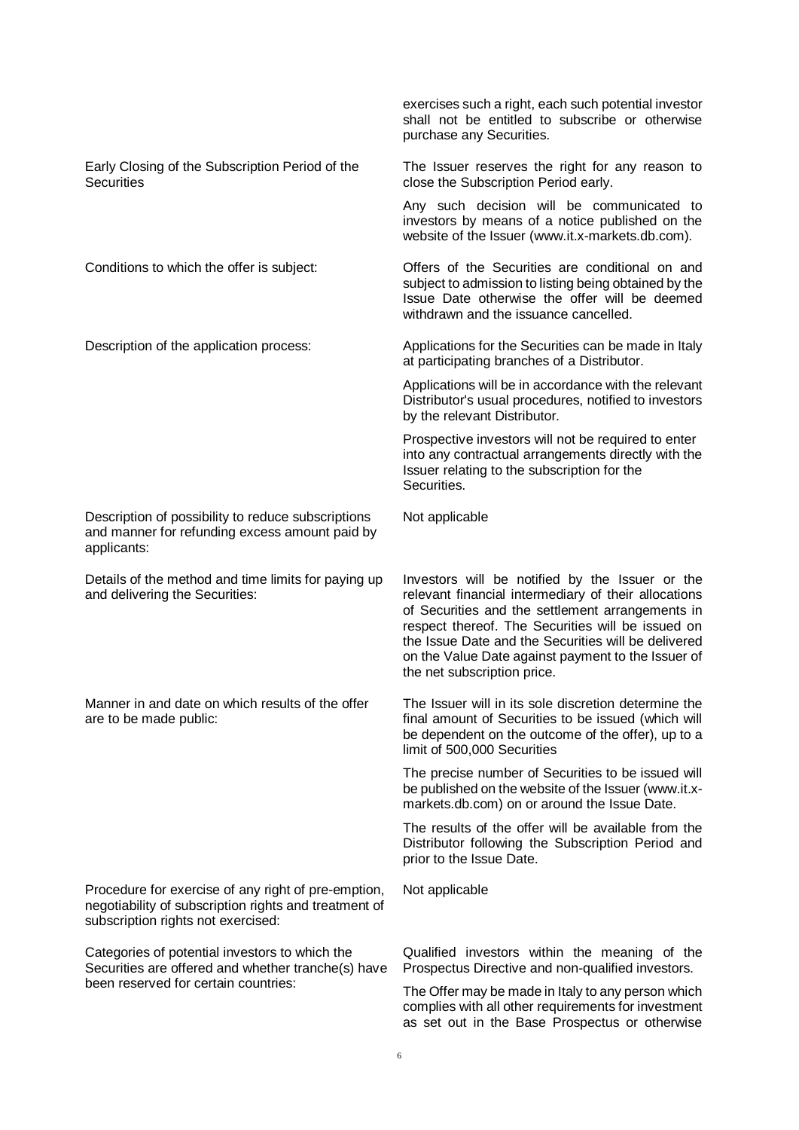|                                                                                                                                                    | exercises such a right, each such potential investor<br>shall not be entitled to subscribe or otherwise<br>purchase any Securities.                                                                                                                                                                                                                          |
|----------------------------------------------------------------------------------------------------------------------------------------------------|--------------------------------------------------------------------------------------------------------------------------------------------------------------------------------------------------------------------------------------------------------------------------------------------------------------------------------------------------------------|
| Early Closing of the Subscription Period of the<br><b>Securities</b>                                                                               | The Issuer reserves the right for any reason to<br>close the Subscription Period early.                                                                                                                                                                                                                                                                      |
|                                                                                                                                                    | Any such decision will be communicated to<br>investors by means of a notice published on the<br>website of the Issuer (www.it.x-markets.db.com).                                                                                                                                                                                                             |
| Conditions to which the offer is subject:                                                                                                          | Offers of the Securities are conditional on and<br>subject to admission to listing being obtained by the<br>Issue Date otherwise the offer will be deemed<br>withdrawn and the issuance cancelled.                                                                                                                                                           |
| Description of the application process:                                                                                                            | Applications for the Securities can be made in Italy<br>at participating branches of a Distributor.                                                                                                                                                                                                                                                          |
|                                                                                                                                                    | Applications will be in accordance with the relevant<br>Distributor's usual procedures, notified to investors<br>by the relevant Distributor.                                                                                                                                                                                                                |
|                                                                                                                                                    | Prospective investors will not be required to enter<br>into any contractual arrangements directly with the<br>Issuer relating to the subscription for the<br>Securities.                                                                                                                                                                                     |
| Description of possibility to reduce subscriptions<br>and manner for refunding excess amount paid by<br>applicants:                                | Not applicable                                                                                                                                                                                                                                                                                                                                               |
| Details of the method and time limits for paying up<br>and delivering the Securities:                                                              | Investors will be notified by the Issuer or the<br>relevant financial intermediary of their allocations<br>of Securities and the settlement arrangements in<br>respect thereof. The Securities will be issued on<br>the Issue Date and the Securities will be delivered<br>on the Value Date against payment to the Issuer of<br>the net subscription price. |
| Manner in and date on which results of the offer<br>are to be made public:                                                                         | The Issuer will in its sole discretion determine the<br>final amount of Securities to be issued (which will<br>be dependent on the outcome of the offer), up to a<br>limit of 500,000 Securities                                                                                                                                                             |
|                                                                                                                                                    | The precise number of Securities to be issued will<br>be published on the website of the Issuer (www.it.x-<br>markets.db.com) on or around the Issue Date.                                                                                                                                                                                                   |
|                                                                                                                                                    | The results of the offer will be available from the<br>Distributor following the Subscription Period and<br>prior to the Issue Date.                                                                                                                                                                                                                         |
| Procedure for exercise of any right of pre-emption,<br>negotiability of subscription rights and treatment of<br>subscription rights not exercised: | Not applicable                                                                                                                                                                                                                                                                                                                                               |
| Categories of potential investors to which the<br>Securities are offered and whether tranche(s) have                                               | Qualified investors within the meaning of the<br>Prospectus Directive and non-qualified investors.                                                                                                                                                                                                                                                           |
| been reserved for certain countries:                                                                                                               | The Offer may be made in Italy to any person which<br>complies with all other requirements for investment<br>as set out in the Base Prospectus or otherwise                                                                                                                                                                                                  |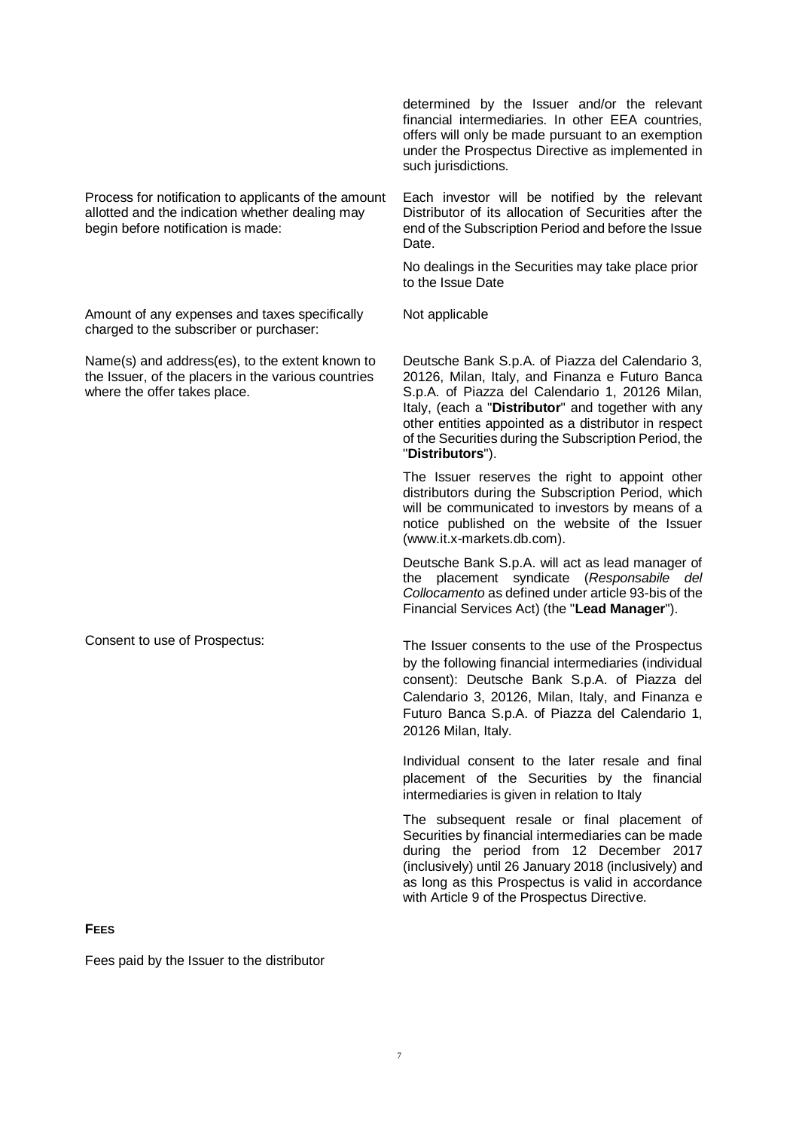Process for notification to applicants of the amount allotted and the indication whether dealing may begin before notification is made:

Amount of any expenses and taxes specifically charged to the subscriber or purchaser:

Name(s) and address(es), to the extent known to the Issuer, of the placers in the various countries where the offer takes place.

determined by the Issuer and/or the relevant financial intermediaries. In other EEA countries, offers will only be made pursuant to an exemption under the Prospectus Directive as implemented in such jurisdictions.

Each investor will be notified by the relevant Distributor of its allocation of Securities after the end of the Subscription Period and before the Issue Date.

No dealings in the Securities may take place prior to the Issue Date

Not applicable

Deutsche Bank S.p.A. of Piazza del Calendario 3, 20126, Milan, Italy, and Finanza e Futuro Banca S.p.A. of Piazza del Calendario 1, 20126 Milan, Italy, (each a "**Distributor**" and together with any other entities appointed as a distributor in respect of the Securities during the Subscription Period, the "**Distributors**").

The Issuer reserves the right to appoint other distributors during the Subscription Period, which will be communicated to investors by means of a notice published on the website of the Issuer (www.it.x-markets.db.com).

Deutsche Bank S.p.A. will act as lead manager of the placement syndicate (*Responsabile del Collocamento* as defined under article 93-bis of the Financial Services Act) (the "**Lead Manager**").

Consent to use of Prospectus: The Issuer consents to the use of the Prospectus by the following financial intermediaries (individual consent): Deutsche Bank S.p.A. of Piazza del Calendario 3, 20126, Milan, Italy, and Finanza e Futuro Banca S.p.A. of Piazza del Calendario 1, 20126 Milan, Italy.

> Individual consent to the later resale and final placement of the Securities by the financial intermediaries is given in relation to Italy

> The subsequent resale or final placement of Securities by financial intermediaries can be made during the period from 12 December 2017 (inclusively) until 26 January 2018 (inclusively) and as long as this Prospectus is valid in accordance with Article 9 of the Prospectus Directive.

### **FEES**

Fees paid by the Issuer to the distributor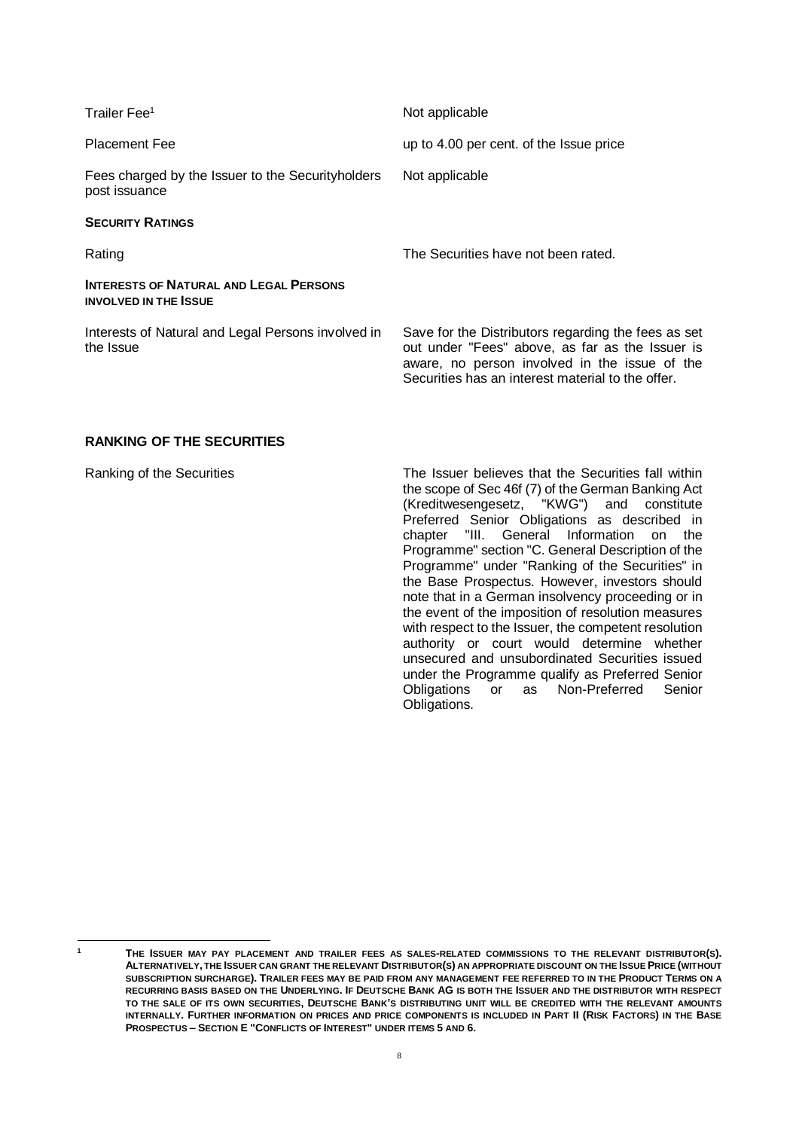| Not applicable                                                                                                                                                                                               |  |  |
|--------------------------------------------------------------------------------------------------------------------------------------------------------------------------------------------------------------|--|--|
| up to 4.00 per cent. of the Issue price                                                                                                                                                                      |  |  |
| Not applicable                                                                                                                                                                                               |  |  |
|                                                                                                                                                                                                              |  |  |
| The Securities have not been rated.                                                                                                                                                                          |  |  |
|                                                                                                                                                                                                              |  |  |
| Save for the Distributors regarding the fees as set<br>out under "Fees" above, as far as the Issuer is<br>aware, no person involved in the issue of the<br>Securities has an interest material to the offer. |  |  |
|                                                                                                                                                                                                              |  |  |

## **RANKING OF THE SECURITIES**

Ranking of the Securities The Issuer believes that the Securities fall within the scope of Sec 46f (7) of the German Banking Act (Kreditwesengesetz, "KWG") and constitute Preferred Senior Obligations as described in chapter "III. General Information on the Programme" section "C. General Description of the Programme" under "Ranking of the Securities" in the Base Prospectus. However, investors should note that in a German insolvency proceeding or in the event of the imposition of resolution measures with respect to the Issuer, the competent resolution authority or court would determine whether unsecured and unsubordinated Securities issued under the Programme qualify as Preferred Senior Obligations or as Non-Preferred Senior Obligations.

 $\overline{1}$ 

**<sup>1</sup> THE ISSUER MAY PAY PLACEMENT AND TRAILER FEES AS SALES-RELATED COMMISSIONS TO THE RELEVANT DISTRIBUTOR(S).** ALTERNATIVELY, THE ISSUER CAN GRANT THE RELEVANT DISTRIBUTOR(S) AN APPROPRIATE DISCOUNT ON THE ISSUE PRICE (WITHOUT **SUBSCRIPTION SURCHARGE). TRAILER FEES MAY BE PAID FROM ANY MANAGEMENT FEE REFERRED TO IN THE PRODUCT TERMS ON A RECURRING BASIS BASED ON THE UNDERLYING. IF DEUTSCHE BANK AG IS BOTH THE ISSUER AND THE DISTRIBUTOR WITH RESPECT TO THE SALE OF ITS OWN SECURITIES, DEUTSCHE BANK'S DISTRIBUTING UNIT WILL BE CREDITED WITH THE RELEVANT AMOUNTS INTERNALLY. FURTHER INFORMATION ON PRICES AND PRICE COMPONENTS IS INCLUDED IN PART II (RISK FACTORS) IN THE BASE PROSPECTUS – SECTION E "CONFLICTS OF INTEREST" UNDER ITEMS 5 AND 6.**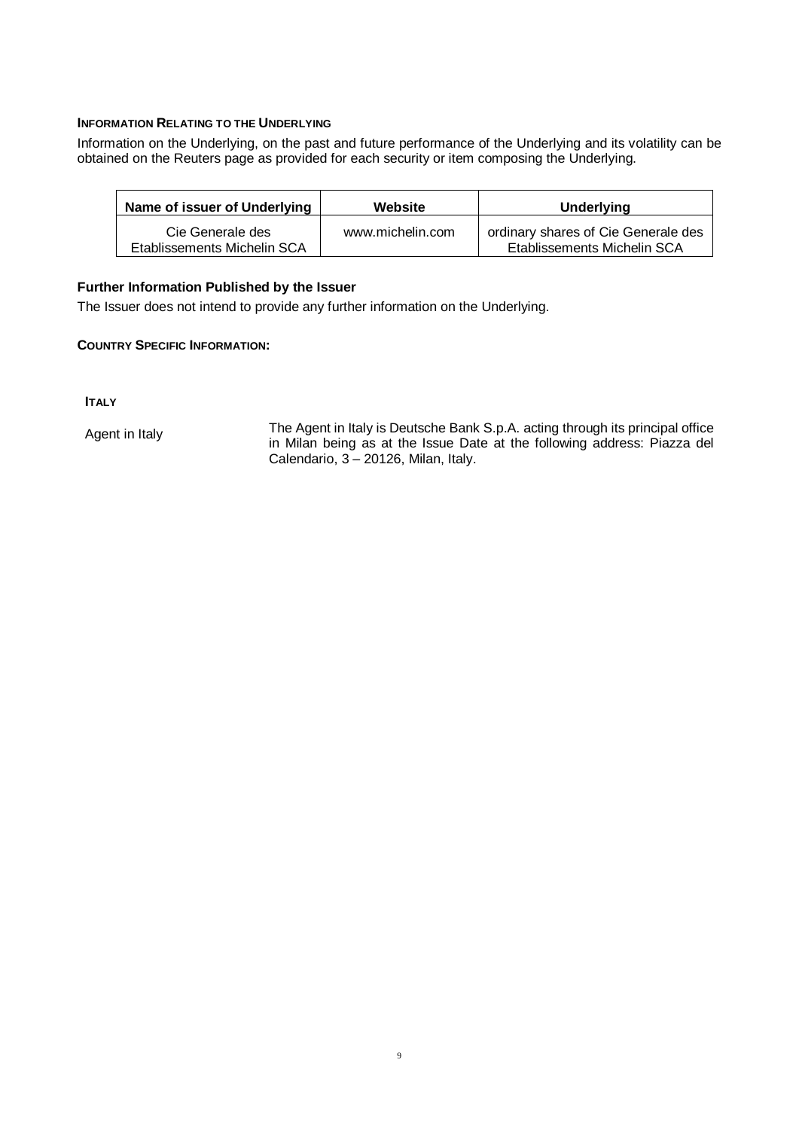### **INFORMATION RELATING TO THE UNDERLYING**

Information on the Underlying, on the past and future performance of the Underlying and its volatility can be obtained on the Reuters page as provided for each security or item composing the Underlying.

| Name of issuer of Underlying                    | Website          | <b>Underlying</b>                                                  |  |  |
|-------------------------------------------------|------------------|--------------------------------------------------------------------|--|--|
| Cie Generale des<br>Etablissements Michelin SCA | www.michelin.com | ordinary shares of Cie Generale des<br>Etablissements Michelin SCA |  |  |

## **Further Information Published by the Issuer**

The Issuer does not intend to provide any further information on the Underlying.

## **COUNTRY SPECIFIC INFORMATION:**

**ITALY** 

Agent in Italy The Agent in Italy is Deutsche Bank S.p.A. acting through its principal office in Milan being as at the Issue Date at the following address: Piazza del Calendario,  $3 - 20126$ , Milan, Italy.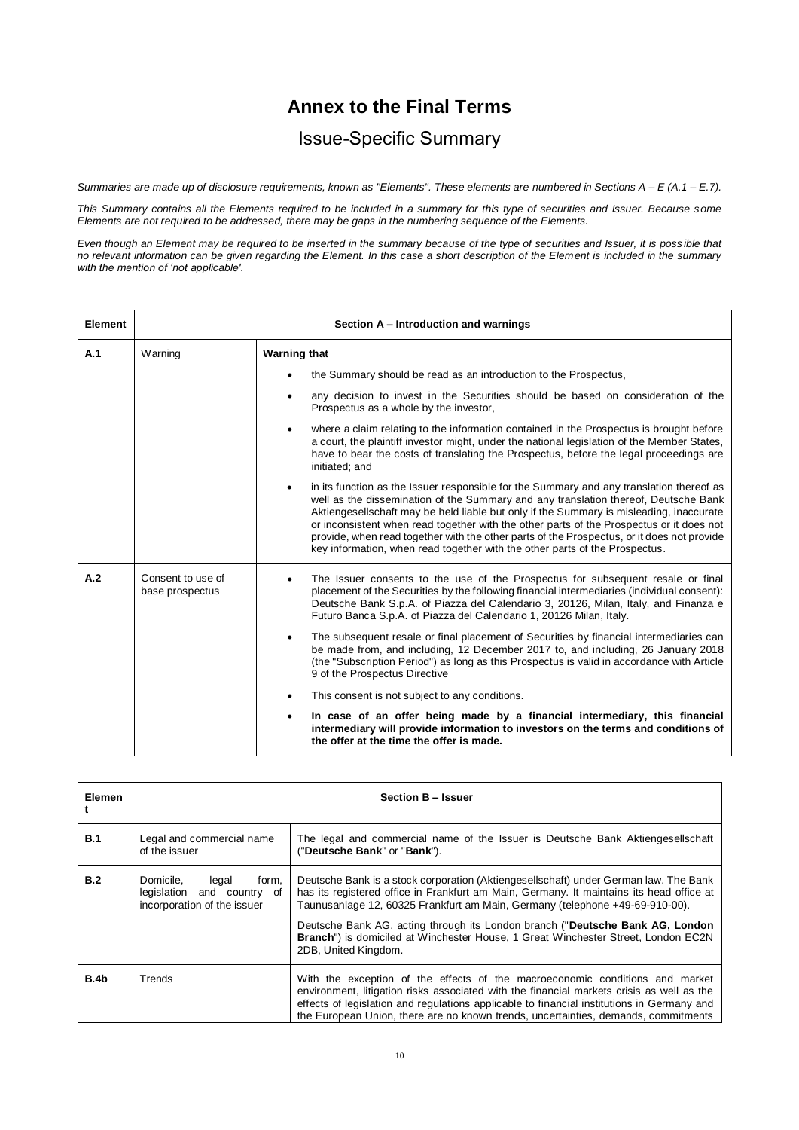# **Annex to the Final Terms**

# Issue-Specific Summary

*Summaries are made up of disclosure requirements, known as "Elements". These elements are numbered in Sections A – E (A.1 – E.7).*

*This Summary contains all the Elements required to be included in a summary for this type of securities and Issuer. Because some Elements are not required to be addressed, there may be gaps in the numbering sequence of the Elements.*

*Even though an Element may be required to be inserted in the summary because of the type of securities and Issuer, it is poss ible that no relevant information can be given regarding the Element. In this case a short description of the Element is included in the summary with the mention of 'not applicable'.*

| <b>Element</b> | Section A - Introduction and warnings |                                                                                                                                                                                                                                                                                                                                                                                                                                                                                                                                                                  |  |  |  |  |
|----------------|---------------------------------------|------------------------------------------------------------------------------------------------------------------------------------------------------------------------------------------------------------------------------------------------------------------------------------------------------------------------------------------------------------------------------------------------------------------------------------------------------------------------------------------------------------------------------------------------------------------|--|--|--|--|
| A.1            | Warning                               | <b>Warning that</b>                                                                                                                                                                                                                                                                                                                                                                                                                                                                                                                                              |  |  |  |  |
|                |                                       | the Summary should be read as an introduction to the Prospectus,                                                                                                                                                                                                                                                                                                                                                                                                                                                                                                 |  |  |  |  |
|                |                                       | any decision to invest in the Securities should be based on consideration of the<br>$\bullet$<br>Prospectus as a whole by the investor,                                                                                                                                                                                                                                                                                                                                                                                                                          |  |  |  |  |
|                |                                       | where a claim relating to the information contained in the Prospectus is brought before<br>$\bullet$<br>a court, the plaintiff investor might, under the national legislation of the Member States,<br>have to bear the costs of translating the Prospectus, before the legal proceedings are<br>initiated; and                                                                                                                                                                                                                                                  |  |  |  |  |
|                |                                       | in its function as the Issuer responsible for the Summary and any translation thereof as<br>$\bullet$<br>well as the dissemination of the Summary and any translation thereof, Deutsche Bank<br>Aktiengesellschaft may be held liable but only if the Summary is misleading, inaccurate<br>or inconsistent when read together with the other parts of the Prospectus or it does not<br>provide, when read together with the other parts of the Prospectus, or it does not provide<br>key information, when read together with the other parts of the Prospectus. |  |  |  |  |
| A.2            | Consent to use of<br>base prospectus  | The Issuer consents to the use of the Prospectus for subsequent resale or final<br>$\bullet$<br>placement of the Securities by the following financial intermediaries (individual consent):<br>Deutsche Bank S.p.A. of Piazza del Calendario 3, 20126, Milan, Italy, and Finanza e<br>Futuro Banca S.p.A. of Piazza del Calendario 1, 20126 Milan, Italy.                                                                                                                                                                                                        |  |  |  |  |
|                |                                       | The subsequent resale or final placement of Securities by financial intermediaries can<br>$\bullet$<br>be made from, and including, 12 December 2017 to, and including, 26 January 2018<br>(the "Subscription Period") as long as this Prospectus is valid in accordance with Article<br>9 of the Prospectus Directive                                                                                                                                                                                                                                           |  |  |  |  |
|                |                                       | This consent is not subject to any conditions.                                                                                                                                                                                                                                                                                                                                                                                                                                                                                                                   |  |  |  |  |
|                |                                       | In case of an offer being made by a financial intermediary, this financial<br>$\bullet$<br>intermediary will provide information to investors on the terms and conditions of<br>the offer at the time the offer is made.                                                                                                                                                                                                                                                                                                                                         |  |  |  |  |

| Elemen           | Section B - Issuer                                                                       |                                                                                                                                                                                                                                                                                                                                                               |  |  |
|------------------|------------------------------------------------------------------------------------------|---------------------------------------------------------------------------------------------------------------------------------------------------------------------------------------------------------------------------------------------------------------------------------------------------------------------------------------------------------------|--|--|
| B.1              | Legal and commercial name<br>of the issuer                                               | The legal and commercial name of the Issuer is Deutsche Bank Aktiengesellschaft<br>("Deutsche Bank" or "Bank").                                                                                                                                                                                                                                               |  |  |
| B.2              | Domicile,<br>form.<br>legal<br>legislation and country of<br>incorporation of the issuer | Deutsche Bank is a stock corporation (Aktiengesellschaft) under German law. The Bank<br>has its registered office in Frankfurt am Main, Germany. It maintains its head office at<br>Taunusanlage 12, 60325 Frankfurt am Main, Germany (telephone +49-69-910-00).                                                                                              |  |  |
|                  |                                                                                          | Deutsche Bank AG, acting through its London branch ("Deutsche Bank AG, London<br>Branch") is domiciled at Winchester House, 1 Great Winchester Street, London EC2N<br>2DB, United Kingdom.                                                                                                                                                                    |  |  |
| B.4 <sub>b</sub> | Trends                                                                                   | With the exception of the effects of the macroeconomic conditions and market<br>environment, litigation risks associated with the financial markets crisis as well as the<br>effects of legislation and regulations applicable to financial institutions in Germany and<br>the European Union, there are no known trends, uncertainties, demands, commitments |  |  |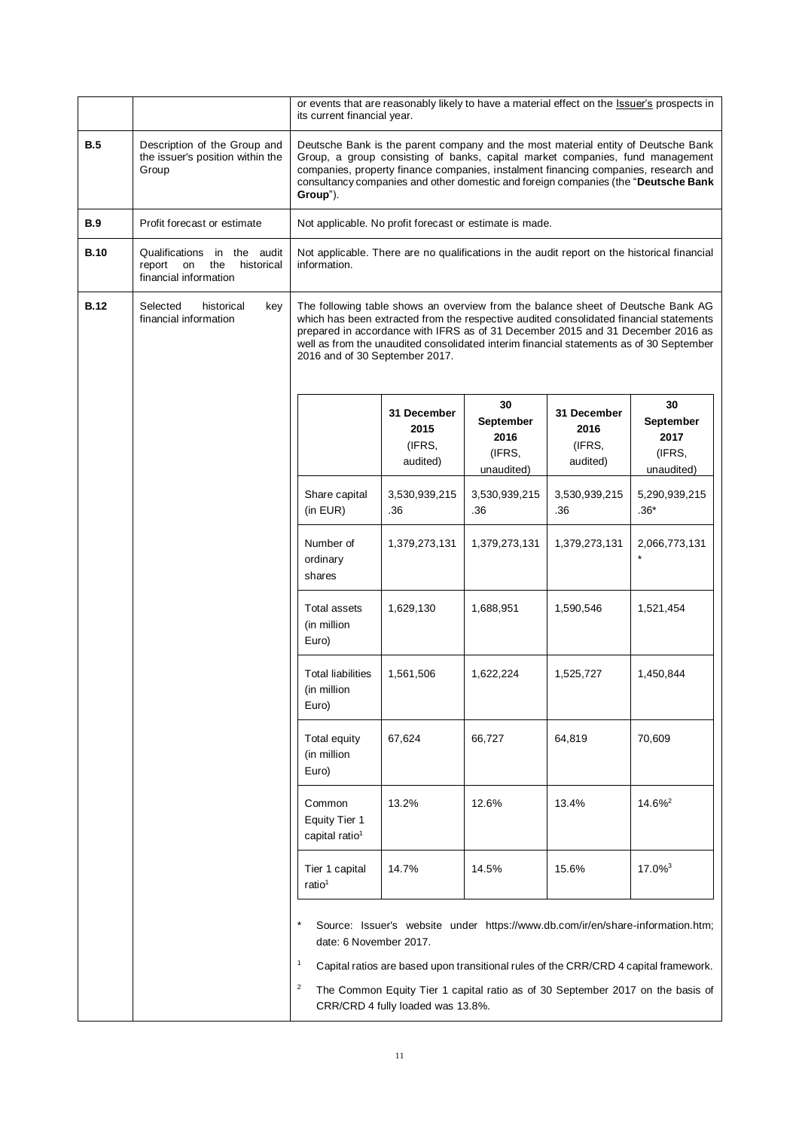|             |                                                                                           | or events that are reasonably likely to have a material effect on the Issuer's prospects in<br>its current financial year.                                                                                                                                                                                                                                                                 |                                                         |                                                 |                                           |                                                 |
|-------------|-------------------------------------------------------------------------------------------|--------------------------------------------------------------------------------------------------------------------------------------------------------------------------------------------------------------------------------------------------------------------------------------------------------------------------------------------------------------------------------------------|---------------------------------------------------------|-------------------------------------------------|-------------------------------------------|-------------------------------------------------|
| B.5         | Description of the Group and<br>the issuer's position within the<br>Group                 | Deutsche Bank is the parent company and the most material entity of Deutsche Bank<br>Group, a group consisting of banks, capital market companies, fund management<br>companies, property finance companies, instalment financing companies, research and<br>consultancy companies and other domestic and foreign companies (the "Deutsche Bank<br>Group").                                |                                                         |                                                 |                                           |                                                 |
| <b>B.9</b>  | Profit forecast or estimate                                                               |                                                                                                                                                                                                                                                                                                                                                                                            | Not applicable. No profit forecast or estimate is made. |                                                 |                                           |                                                 |
| <b>B.10</b> | Qualifications in the audit<br>report<br>on<br>the<br>historical<br>financial information | Not applicable. There are no qualifications in the audit report on the historical financial<br>information.                                                                                                                                                                                                                                                                                |                                                         |                                                 |                                           |                                                 |
| <b>B.12</b> | Selected<br>historical<br>key<br>financial information                                    | The following table shows an overview from the balance sheet of Deutsche Bank AG<br>which has been extracted from the respective audited consolidated financial statements<br>prepared in accordance with IFRS as of 31 December 2015 and 31 December 2016 as<br>well as from the unaudited consolidated interim financial statements as of 30 September<br>2016 and of 30 September 2017. |                                                         |                                                 |                                           |                                                 |
|             |                                                                                           |                                                                                                                                                                                                                                                                                                                                                                                            | 31 December<br>2015<br>(IFRS,<br>audited)               | 30<br>September<br>2016<br>(IFRS,<br>unaudited) | 31 December<br>2016<br>(IFRS,<br>audited) | 30<br>September<br>2017<br>(IFRS,<br>unaudited) |
|             |                                                                                           | Share capital<br>(in EUR)                                                                                                                                                                                                                                                                                                                                                                  | 3,530,939,215<br>.36                                    | 3,530,939,215<br>.36                            | 3,530,939,215<br>.36                      | 5,290,939,215<br>$.36*$                         |
|             |                                                                                           | Number of<br>ordinary<br>shares                                                                                                                                                                                                                                                                                                                                                            | 1,379,273,131                                           | 1,379,273,131                                   | 1,379,273,131                             | 2,066,773,131                                   |
|             |                                                                                           | Total assets<br>(in million<br>Euro)                                                                                                                                                                                                                                                                                                                                                       | 1,629,130                                               | 1,688,951                                       | 1,590,546                                 | 1,521,454                                       |
|             |                                                                                           | <b>Total liabilities</b><br>(in million<br>Euro)                                                                                                                                                                                                                                                                                                                                           | 1,561,506                                               | 1,622,224                                       | 1,525,727                                 | 1,450,844                                       |
|             |                                                                                           | Total equity<br>(in million<br>Euro)                                                                                                                                                                                                                                                                                                                                                       | 67,624                                                  | 66,727                                          | 64,819                                    | 70,609                                          |
|             |                                                                                           | Common<br><b>Equity Tier 1</b><br>capital ratio <sup>1</sup>                                                                                                                                                                                                                                                                                                                               | 13.2%                                                   | 12.6%                                           | 13.4%                                     | $14.6\%$ <sup>2</sup>                           |
|             |                                                                                           | Tier 1 capital<br>ratio <sup>1</sup>                                                                                                                                                                                                                                                                                                                                                       | 14.7%                                                   | 14.5%                                           | 15.6%                                     | $17.0\%$ <sup>3</sup>                           |
|             |                                                                                           | Source: Issuer's website under https://www.db.com/ir/en/share-information.htm;<br>date: 6 November 2017.                                                                                                                                                                                                                                                                                   |                                                         |                                                 |                                           |                                                 |
|             |                                                                                           | $\mathbf{1}$<br>Capital ratios are based upon transitional rules of the CRR/CRD 4 capital framework.<br>$\overline{2}$<br>The Common Equity Tier 1 capital ratio as of 30 September 2017 on the basis of<br>CRR/CRD 4 fully loaded was 13.8%.                                                                                                                                              |                                                         |                                                 |                                           |                                                 |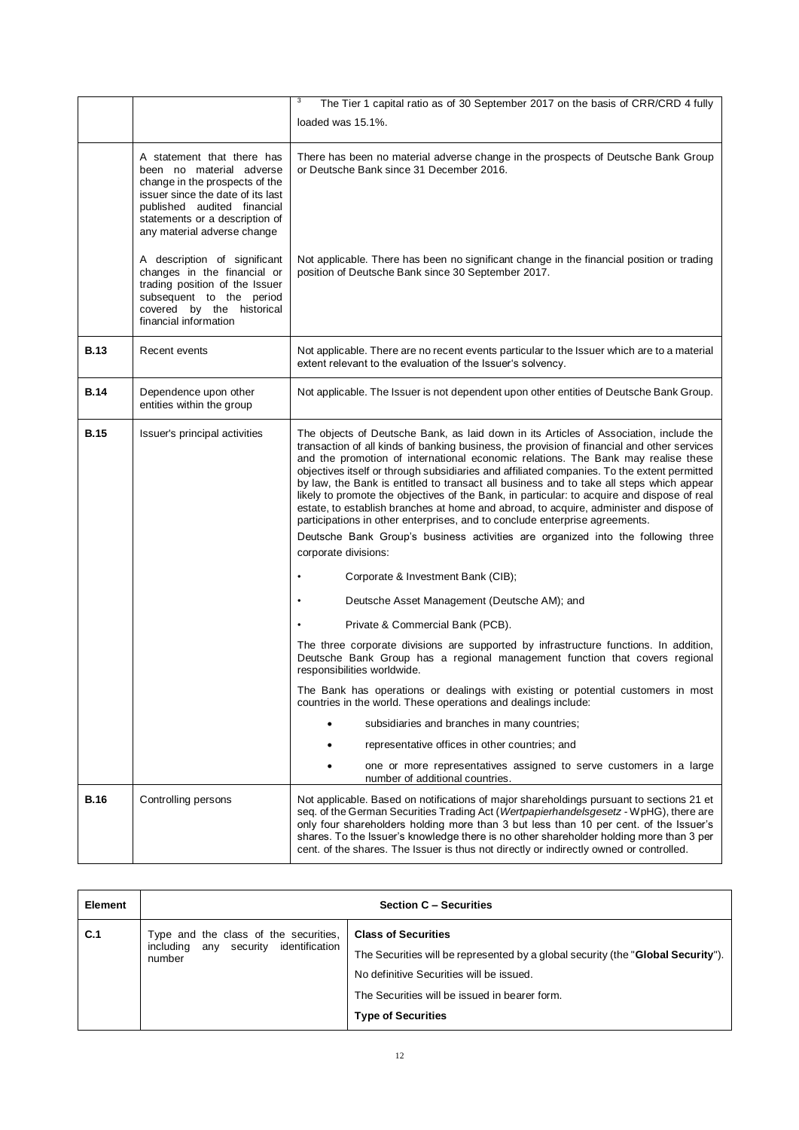|             |                                                                                                                                                                                                                               | 3<br>The Tier 1 capital ratio as of 30 September 2017 on the basis of CRR/CRD 4 fully                                                                                                                                                                                                                                                                                                                                                                                                                                                                                                                                                                                                                                                                                                                                                                                                            |
|-------------|-------------------------------------------------------------------------------------------------------------------------------------------------------------------------------------------------------------------------------|--------------------------------------------------------------------------------------------------------------------------------------------------------------------------------------------------------------------------------------------------------------------------------------------------------------------------------------------------------------------------------------------------------------------------------------------------------------------------------------------------------------------------------------------------------------------------------------------------------------------------------------------------------------------------------------------------------------------------------------------------------------------------------------------------------------------------------------------------------------------------------------------------|
|             |                                                                                                                                                                                                                               | loaded was 15.1%.                                                                                                                                                                                                                                                                                                                                                                                                                                                                                                                                                                                                                                                                                                                                                                                                                                                                                |
|             | A statement that there has<br>been no material adverse<br>change in the prospects of the<br>issuer since the date of its last<br>published audited financial<br>statements or a description of<br>any material adverse change | There has been no material adverse change in the prospects of Deutsche Bank Group<br>or Deutsche Bank since 31 December 2016.                                                                                                                                                                                                                                                                                                                                                                                                                                                                                                                                                                                                                                                                                                                                                                    |
|             | A description of significant<br>changes in the financial or<br>trading position of the Issuer<br>subsequent to the period<br>covered by the historical<br>financial information                                               | Not applicable. There has been no significant change in the financial position or trading<br>position of Deutsche Bank since 30 September 2017.                                                                                                                                                                                                                                                                                                                                                                                                                                                                                                                                                                                                                                                                                                                                                  |
| <b>B.13</b> | Recent events                                                                                                                                                                                                                 | Not applicable. There are no recent events particular to the Issuer which are to a material<br>extent relevant to the evaluation of the Issuer's solvency.                                                                                                                                                                                                                                                                                                                                                                                                                                                                                                                                                                                                                                                                                                                                       |
| <b>B.14</b> | Dependence upon other<br>entities within the group                                                                                                                                                                            | Not applicable. The Issuer is not dependent upon other entities of Deutsche Bank Group.                                                                                                                                                                                                                                                                                                                                                                                                                                                                                                                                                                                                                                                                                                                                                                                                          |
| <b>B.15</b> | Issuer's principal activities                                                                                                                                                                                                 | The objects of Deutsche Bank, as laid down in its Articles of Association, include the<br>transaction of all kinds of banking business, the provision of financial and other services<br>and the promotion of international economic relations. The Bank may realise these<br>objectives itself or through subsidiaries and affiliated companies. To the extent permitted<br>by law, the Bank is entitled to transact all business and to take all steps which appear<br>likely to promote the objectives of the Bank, in particular: to acquire and dispose of real<br>estate, to establish branches at home and abroad, to acquire, administer and dispose of<br>participations in other enterprises, and to conclude enterprise agreements.<br>Deutsche Bank Group's business activities are organized into the following three<br>corporate divisions:<br>Corporate & Investment Bank (CIB); |
|             |                                                                                                                                                                                                                               |                                                                                                                                                                                                                                                                                                                                                                                                                                                                                                                                                                                                                                                                                                                                                                                                                                                                                                  |
|             |                                                                                                                                                                                                                               | Deutsche Asset Management (Deutsche AM); and                                                                                                                                                                                                                                                                                                                                                                                                                                                                                                                                                                                                                                                                                                                                                                                                                                                     |
|             |                                                                                                                                                                                                                               | Private & Commercial Bank (PCB).<br>The three corporate divisions are supported by infrastructure functions. In addition,<br>Deutsche Bank Group has a regional management function that covers regional<br>responsibilities worldwide.                                                                                                                                                                                                                                                                                                                                                                                                                                                                                                                                                                                                                                                          |
|             |                                                                                                                                                                                                                               | The Bank has operations or dealings with existing or potential customers in most<br>countries in the world. These operations and dealings include:                                                                                                                                                                                                                                                                                                                                                                                                                                                                                                                                                                                                                                                                                                                                               |
|             |                                                                                                                                                                                                                               | subsidiaries and branches in many countries;                                                                                                                                                                                                                                                                                                                                                                                                                                                                                                                                                                                                                                                                                                                                                                                                                                                     |
|             |                                                                                                                                                                                                                               | representative offices in other countries; and                                                                                                                                                                                                                                                                                                                                                                                                                                                                                                                                                                                                                                                                                                                                                                                                                                                   |
|             |                                                                                                                                                                                                                               | one or more representatives assigned to serve customers in a large<br>number of additional countries.                                                                                                                                                                                                                                                                                                                                                                                                                                                                                                                                                                                                                                                                                                                                                                                            |
| <b>B.16</b> | Controlling persons                                                                                                                                                                                                           | Not applicable. Based on notifications of major shareholdings pursuant to sections 21 et<br>seq. of the German Securities Trading Act (Wertpapierhandelsgesetz - WpHG), there are<br>only four shareholders holding more than 3 but less than 10 per cent. of the Issuer's<br>shares. To the Issuer's knowledge there is no other shareholder holding more than 3 per<br>cent. of the shares. The Issuer is thus not directly or indirectly owned or controlled.                                                                                                                                                                                                                                                                                                                                                                                                                                 |

| <b>Element</b> |                                                                                          | <b>Section C - Securities</b>                                                                                                                                                                                                            |
|----------------|------------------------------------------------------------------------------------------|------------------------------------------------------------------------------------------------------------------------------------------------------------------------------------------------------------------------------------------|
| C.1            | Type and the class of the securities,<br>including any security identification<br>number | <b>Class of Securities</b><br>The Securities will be represented by a global security (the "Global Security").<br>No definitive Securities will be issued.<br>The Securities will be issued in bearer form.<br><b>Type of Securities</b> |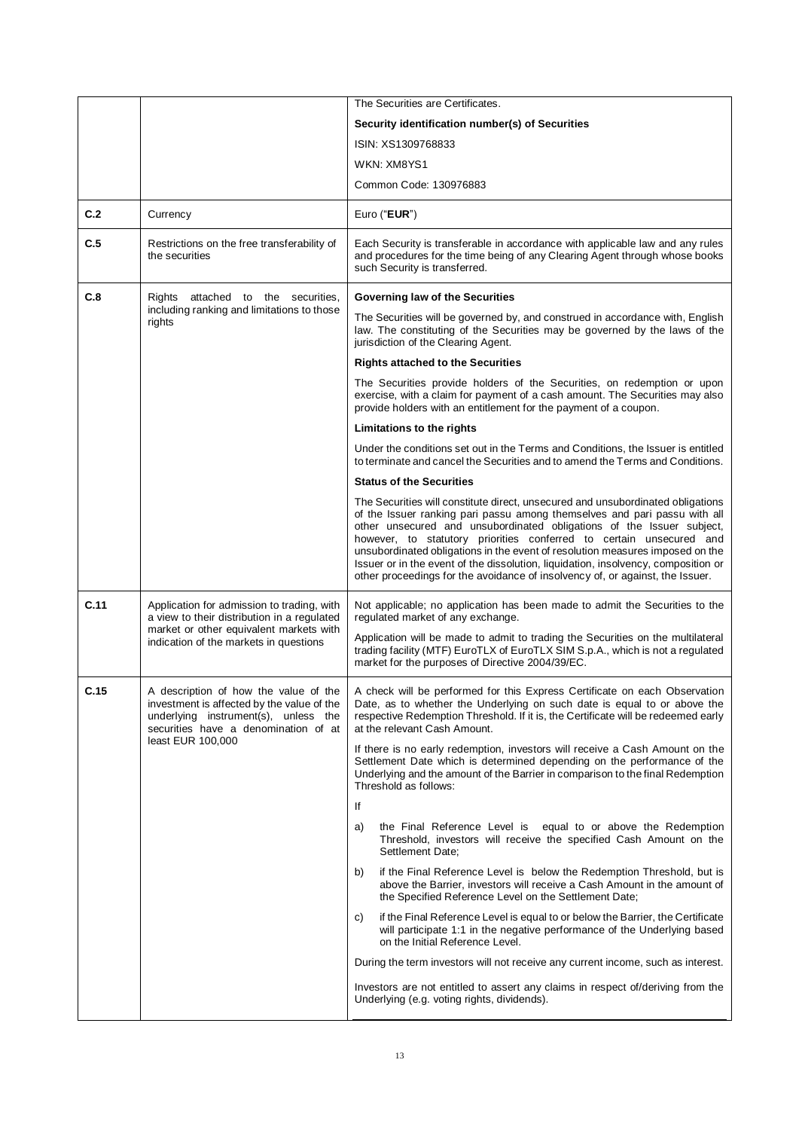|      |                                                                                                                                                                     | The Securities are Certificates.                                                                                                                                                                                                                                                                                                                                                                                                                                                                                                                                     |
|------|---------------------------------------------------------------------------------------------------------------------------------------------------------------------|----------------------------------------------------------------------------------------------------------------------------------------------------------------------------------------------------------------------------------------------------------------------------------------------------------------------------------------------------------------------------------------------------------------------------------------------------------------------------------------------------------------------------------------------------------------------|
|      |                                                                                                                                                                     | Security identification number(s) of Securities                                                                                                                                                                                                                                                                                                                                                                                                                                                                                                                      |
|      |                                                                                                                                                                     | ISIN: XS1309768833                                                                                                                                                                                                                                                                                                                                                                                                                                                                                                                                                   |
|      |                                                                                                                                                                     | WKN: XM8YS1                                                                                                                                                                                                                                                                                                                                                                                                                                                                                                                                                          |
|      |                                                                                                                                                                     | Common Code: 130976883                                                                                                                                                                                                                                                                                                                                                                                                                                                                                                                                               |
| C.2  | Currency                                                                                                                                                            | Euro ("EUR")                                                                                                                                                                                                                                                                                                                                                                                                                                                                                                                                                         |
| C.5  | Restrictions on the free transferability of<br>the securities                                                                                                       | Each Security is transferable in accordance with applicable law and any rules<br>and procedures for the time being of any Clearing Agent through whose books<br>such Security is transferred.                                                                                                                                                                                                                                                                                                                                                                        |
| C.8  | attached to the securities,<br>Rights                                                                                                                               | <b>Governing law of the Securities</b>                                                                                                                                                                                                                                                                                                                                                                                                                                                                                                                               |
|      | including ranking and limitations to those<br>rights                                                                                                                | The Securities will be governed by, and construed in accordance with, English<br>law. The constituting of the Securities may be governed by the laws of the<br>jurisdiction of the Clearing Agent.                                                                                                                                                                                                                                                                                                                                                                   |
|      |                                                                                                                                                                     | <b>Rights attached to the Securities</b>                                                                                                                                                                                                                                                                                                                                                                                                                                                                                                                             |
|      |                                                                                                                                                                     | The Securities provide holders of the Securities, on redemption or upon<br>exercise, with a claim for payment of a cash amount. The Securities may also<br>provide holders with an entitlement for the payment of a coupon.                                                                                                                                                                                                                                                                                                                                          |
|      |                                                                                                                                                                     | Limitations to the rights                                                                                                                                                                                                                                                                                                                                                                                                                                                                                                                                            |
|      |                                                                                                                                                                     | Under the conditions set out in the Terms and Conditions, the Issuer is entitled<br>to terminate and cancel the Securities and to amend the Terms and Conditions.                                                                                                                                                                                                                                                                                                                                                                                                    |
|      |                                                                                                                                                                     | <b>Status of the Securities</b>                                                                                                                                                                                                                                                                                                                                                                                                                                                                                                                                      |
|      |                                                                                                                                                                     | The Securities will constitute direct, unsecured and unsubordinated obligations<br>of the Issuer ranking pari passu among themselves and pari passu with all<br>other unsecured and unsubordinated obligations of the Issuer subject,<br>however, to statutory priorities conferred to certain unsecured and<br>unsubordinated obligations in the event of resolution measures imposed on the<br>Issuer or in the event of the dissolution, liquidation, insolvency, composition or<br>other proceedings for the avoidance of insolvency of, or against, the Issuer. |
| C.11 | Application for admission to trading, with<br>a view to their distribution in a regulated                                                                           | Not applicable; no application has been made to admit the Securities to the<br>regulated market of any exchange.                                                                                                                                                                                                                                                                                                                                                                                                                                                     |
|      | market or other equivalent markets with<br>indication of the markets in questions                                                                                   | Application will be made to admit to trading the Securities on the multilateral<br>trading facility (MTF) EuroTLX of EuroTLX SIM S.p.A., which is not a regulated<br>market for the purposes of Directive 2004/39/EC.                                                                                                                                                                                                                                                                                                                                                |
| C.15 | A description of how the value of the<br>investment is affected by the value of the<br>underlying instrument(s), unless the<br>securities have a denomination of at | A check will be performed for this Express Certificate on each Observation<br>Date, as to whether the Underlying on such date is equal to or above the<br>respective Redemption Threshold. If it is, the Certificate will be redeemed early<br>at the relevant Cash Amount.                                                                                                                                                                                                                                                                                          |
|      | least EUR 100,000                                                                                                                                                   | If there is no early redemption, investors will receive a Cash Amount on the<br>Settlement Date which is determined depending on the performance of the<br>Underlying and the amount of the Barrier in comparison to the final Redemption<br>Threshold as follows:                                                                                                                                                                                                                                                                                                   |
|      |                                                                                                                                                                     | lf                                                                                                                                                                                                                                                                                                                                                                                                                                                                                                                                                                   |
|      |                                                                                                                                                                     | the Final Reference Level is equal to or above the Redemption<br>a)<br>Threshold, investors will receive the specified Cash Amount on the<br>Settlement Date:                                                                                                                                                                                                                                                                                                                                                                                                        |
|      |                                                                                                                                                                     | if the Final Reference Level is below the Redemption Threshold, but is<br>b)<br>above the Barrier, investors will receive a Cash Amount in the amount of<br>the Specified Reference Level on the Settlement Date;                                                                                                                                                                                                                                                                                                                                                    |
|      |                                                                                                                                                                     | if the Final Reference Level is equal to or below the Barrier, the Certificate<br>C)<br>will participate 1:1 in the negative performance of the Underlying based<br>on the Initial Reference Level.                                                                                                                                                                                                                                                                                                                                                                  |
|      |                                                                                                                                                                     | During the term investors will not receive any current income, such as interest.                                                                                                                                                                                                                                                                                                                                                                                                                                                                                     |
|      |                                                                                                                                                                     | Investors are not entitled to assert any claims in respect of/deriving from the<br>Underlying (e.g. voting rights, dividends).                                                                                                                                                                                                                                                                                                                                                                                                                                       |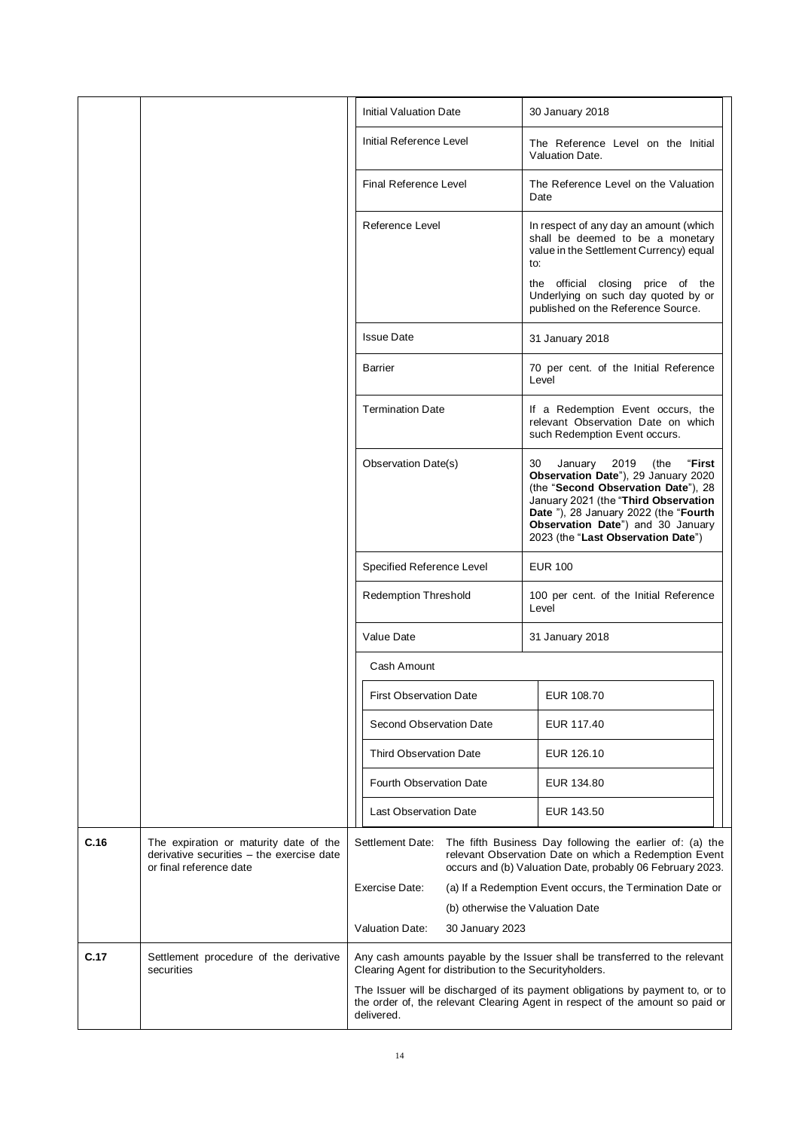|      |                                                                                                                |                                                                                          | <b>Initial Valuation Date</b>                           | 30 January 2018                                                                                                                                                                                                                                                                   |
|------|----------------------------------------------------------------------------------------------------------------|------------------------------------------------------------------------------------------|---------------------------------------------------------|-----------------------------------------------------------------------------------------------------------------------------------------------------------------------------------------------------------------------------------------------------------------------------------|
|      |                                                                                                                |                                                                                          | Initial Reference Level                                 | The Reference Level on the Initial<br>Valuation Date.                                                                                                                                                                                                                             |
|      |                                                                                                                |                                                                                          | Final Reference Level                                   | The Reference Level on the Valuation<br>Date                                                                                                                                                                                                                                      |
|      |                                                                                                                |                                                                                          | Reference Level                                         | In respect of any day an amount (which<br>shall be deemed to be a monetary<br>value in the Settlement Currency) equal<br>to:                                                                                                                                                      |
|      |                                                                                                                |                                                                                          |                                                         | the official closing price of the<br>Underlying on such day quoted by or<br>published on the Reference Source.                                                                                                                                                                    |
|      |                                                                                                                |                                                                                          | <b>Issue Date</b>                                       | 31 January 2018                                                                                                                                                                                                                                                                   |
|      |                                                                                                                |                                                                                          | <b>Barrier</b>                                          | 70 per cent. of the Initial Reference<br>Level                                                                                                                                                                                                                                    |
|      |                                                                                                                |                                                                                          | <b>Termination Date</b>                                 | If a Redemption Event occurs, the<br>relevant Observation Date on which<br>such Redemption Event occurs.                                                                                                                                                                          |
|      |                                                                                                                |                                                                                          | <b>Observation Date(s)</b>                              | 30<br>January<br>2019<br>(the<br>"First<br>Observation Date"), 29 January 2020<br>(the "Second Observation Date"), 28<br>January 2021 (the "Third Observation<br>Date "), 28 January 2022 (the "Fourth<br>Observation Date") and 30 January<br>2023 (the "Last Observation Date") |
|      |                                                                                                                |                                                                                          | Specified Reference Level                               | <b>EUR 100</b>                                                                                                                                                                                                                                                                    |
|      |                                                                                                                |                                                                                          | <b>Redemption Threshold</b>                             | 100 per cent. of the Initial Reference<br>Level                                                                                                                                                                                                                                   |
|      |                                                                                                                |                                                                                          | Value Date                                              | 31 January 2018                                                                                                                                                                                                                                                                   |
|      |                                                                                                                |                                                                                          | Cash Amount                                             |                                                                                                                                                                                                                                                                                   |
|      |                                                                                                                |                                                                                          | <b>First Observation Date</b>                           | EUR 108.70                                                                                                                                                                                                                                                                        |
|      |                                                                                                                |                                                                                          | Second Observation Date                                 | EUR 117.40                                                                                                                                                                                                                                                                        |
|      |                                                                                                                |                                                                                          | <b>Third Observation Date</b>                           | EUR 126.10                                                                                                                                                                                                                                                                        |
|      |                                                                                                                |                                                                                          | Fourth Observation Date                                 | EUR 134.80                                                                                                                                                                                                                                                                        |
|      |                                                                                                                |                                                                                          | <b>Last Observation Date</b>                            | EUR 143.50                                                                                                                                                                                                                                                                        |
| C.16 | The expiration or maturity date of the<br>derivative securities - the exercise date<br>or final reference date |                                                                                          | Settlement Date:                                        | The fifth Business Day following the earlier of: (a) the<br>relevant Observation Date on which a Redemption Event<br>occurs and (b) Valuation Date, probably 06 February 2023.                                                                                                    |
|      |                                                                                                                | Exercise Date:<br>(b) otherwise the Valuation Date<br>Valuation Date:<br>30 January 2023 |                                                         | (a) If a Redemption Event occurs, the Termination Date or                                                                                                                                                                                                                         |
|      |                                                                                                                |                                                                                          |                                                         |                                                                                                                                                                                                                                                                                   |
| C.17 | Settlement procedure of the derivative<br>securities                                                           |                                                                                          | Clearing Agent for distribution to the Securityholders. | Any cash amounts payable by the Issuer shall be transferred to the relevant                                                                                                                                                                                                       |
|      |                                                                                                                |                                                                                          | delivered.                                              | The Issuer will be discharged of its payment obligations by payment to, or to<br>the order of, the relevant Clearing Agent in respect of the amount so paid or                                                                                                                    |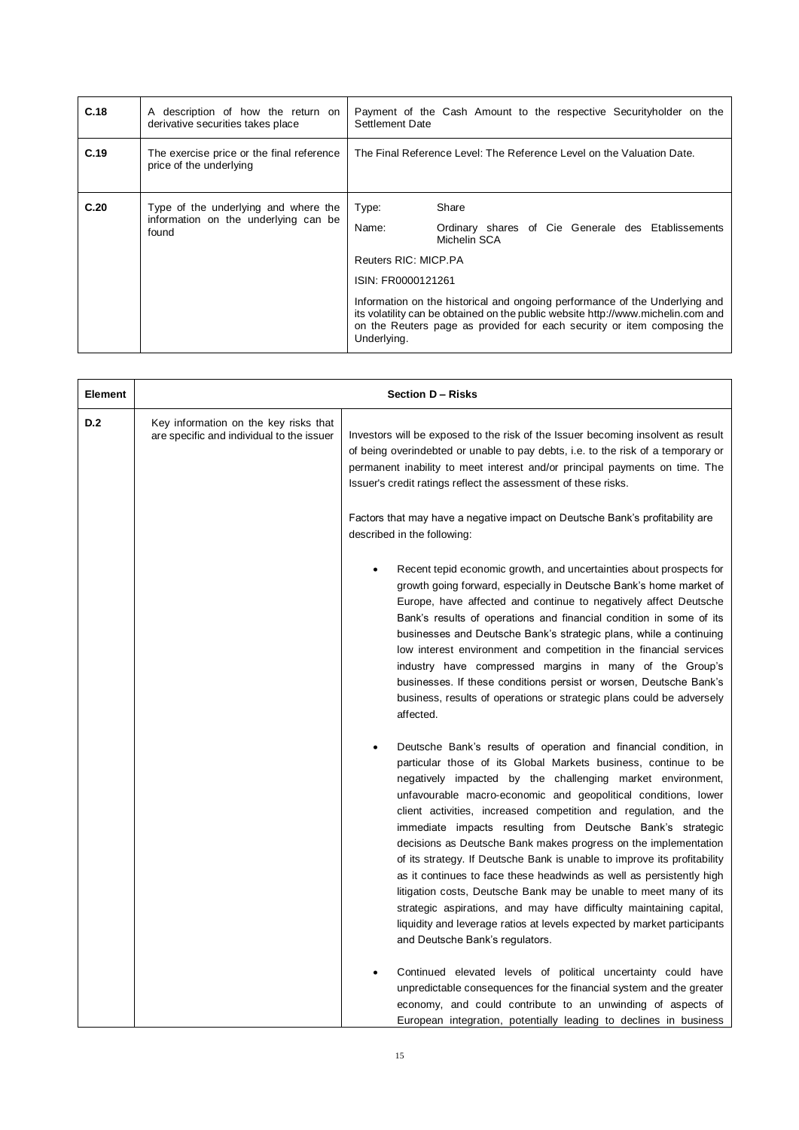| C.18 | A description of how the return on<br>derivative securities takes place               | Settlement Date      | Payment of the Cash Amount to the respective Securityholder on the                                                                                                                                                                         |  |
|------|---------------------------------------------------------------------------------------|----------------------|--------------------------------------------------------------------------------------------------------------------------------------------------------------------------------------------------------------------------------------------|--|
| C.19 | The exercise price or the final reference<br>price of the underlying                  |                      | The Final Reference Level: The Reference Level on the Valuation Date.                                                                                                                                                                      |  |
| C.20 | Type of the underlying and where the<br>information on the underlying can be<br>found | Type:                | Share                                                                                                                                                                                                                                      |  |
|      |                                                                                       | Name:                | Ordinary shares of Cie Generale des Etablissements<br>Michelin SCA                                                                                                                                                                         |  |
|      |                                                                                       | Reuters RIC: MICP.PA |                                                                                                                                                                                                                                            |  |
|      |                                                                                       | ISIN: FR0000121261   |                                                                                                                                                                                                                                            |  |
|      |                                                                                       | Underlying.          | Information on the historical and ongoing performance of the Underlying and<br>its volatility can be obtained on the public website http://www.michelin.com and<br>on the Reuters page as provided for each security or item composing the |  |

| Element |                                                                                    | Section D - Risks                                                                                                                                                                                                                                                                                                                                                                                                                                                                                                                                                                                                                                                                                                                                                                                                                                                                      |
|---------|------------------------------------------------------------------------------------|----------------------------------------------------------------------------------------------------------------------------------------------------------------------------------------------------------------------------------------------------------------------------------------------------------------------------------------------------------------------------------------------------------------------------------------------------------------------------------------------------------------------------------------------------------------------------------------------------------------------------------------------------------------------------------------------------------------------------------------------------------------------------------------------------------------------------------------------------------------------------------------|
| D.2     | Key information on the key risks that<br>are specific and individual to the issuer | Investors will be exposed to the risk of the Issuer becoming insolvent as result<br>of being overindebted or unable to pay debts, i.e. to the risk of a temporary or<br>permanent inability to meet interest and/or principal payments on time. The<br>Issuer's credit ratings reflect the assessment of these risks.                                                                                                                                                                                                                                                                                                                                                                                                                                                                                                                                                                  |
|         |                                                                                    | Factors that may have a negative impact on Deutsche Bank's profitability are<br>described in the following:                                                                                                                                                                                                                                                                                                                                                                                                                                                                                                                                                                                                                                                                                                                                                                            |
|         |                                                                                    | Recent tepid economic growth, and uncertainties about prospects for<br>growth going forward, especially in Deutsche Bank's home market of<br>Europe, have affected and continue to negatively affect Deutsche<br>Bank's results of operations and financial condition in some of its<br>businesses and Deutsche Bank's strategic plans, while a continuing<br>low interest environment and competition in the financial services<br>industry have compressed margins in many of the Group's<br>businesses. If these conditions persist or worsen, Deutsche Bank's<br>business, results of operations or strategic plans could be adversely<br>affected.                                                                                                                                                                                                                                |
|         |                                                                                    | Deutsche Bank's results of operation and financial condition, in<br>particular those of its Global Markets business, continue to be<br>negatively impacted by the challenging market environment,<br>unfavourable macro-economic and geopolitical conditions, lower<br>client activities, increased competition and regulation, and the<br>immediate impacts resulting from Deutsche Bank's strategic<br>decisions as Deutsche Bank makes progress on the implementation<br>of its strategy. If Deutsche Bank is unable to improve its profitability<br>as it continues to face these headwinds as well as persistently high<br>litigation costs, Deutsche Bank may be unable to meet many of its<br>strategic aspirations, and may have difficulty maintaining capital,<br>liquidity and leverage ratios at levels expected by market participants<br>and Deutsche Bank's regulators. |
|         |                                                                                    | Continued elevated levels of political uncertainty could have<br>unpredictable consequences for the financial system and the greater<br>economy, and could contribute to an unwinding of aspects of<br>European integration, potentially leading to declines in business                                                                                                                                                                                                                                                                                                                                                                                                                                                                                                                                                                                                               |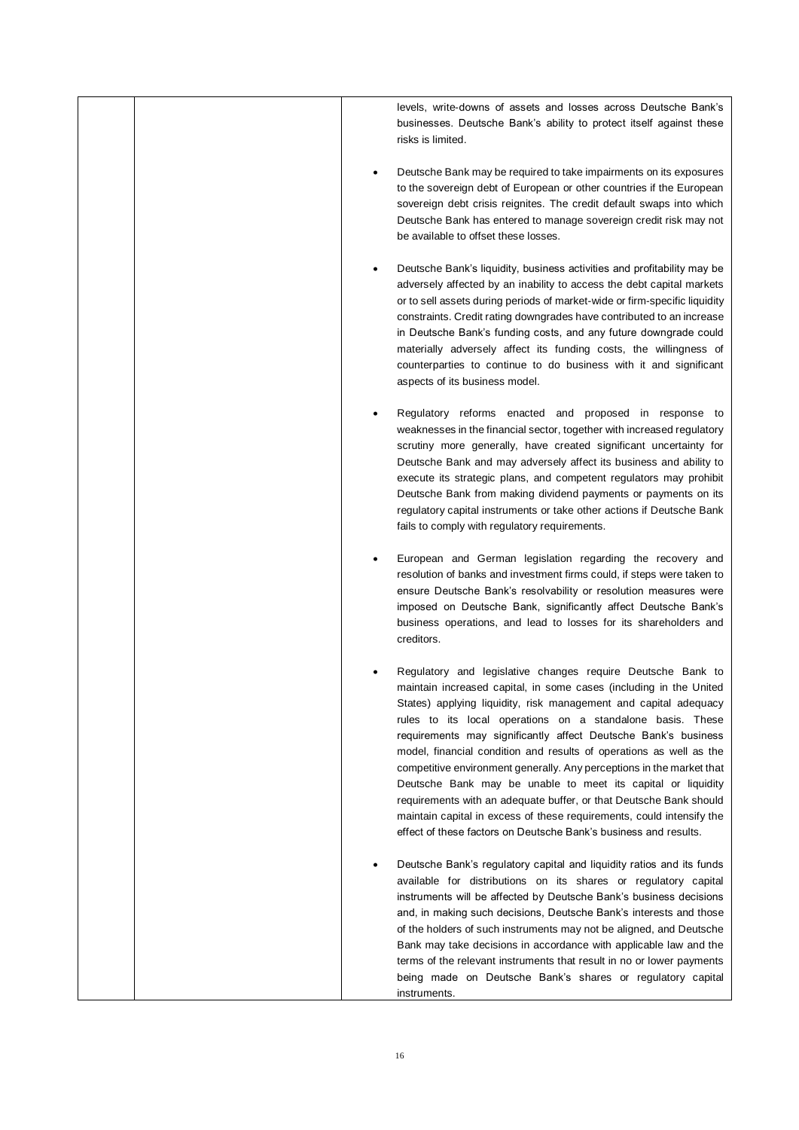|  | levels, write-downs of assets and losses across Deutsche Bank's<br>businesses. Deutsche Bank's ability to protect itself against these<br>risks is limited.                                                                                                                                                                                                                                                                                                                                                                                                                                                                                                                                                                                                              |
|--|--------------------------------------------------------------------------------------------------------------------------------------------------------------------------------------------------------------------------------------------------------------------------------------------------------------------------------------------------------------------------------------------------------------------------------------------------------------------------------------------------------------------------------------------------------------------------------------------------------------------------------------------------------------------------------------------------------------------------------------------------------------------------|
|  | Deutsche Bank may be required to take impairments on its exposures<br>to the sovereign debt of European or other countries if the European<br>sovereign debt crisis reignites. The credit default swaps into which<br>Deutsche Bank has entered to manage sovereign credit risk may not<br>be available to offset these losses.                                                                                                                                                                                                                                                                                                                                                                                                                                          |
|  | Deutsche Bank's liquidity, business activities and profitability may be<br>adversely affected by an inability to access the debt capital markets<br>or to sell assets during periods of market-wide or firm-specific liquidity<br>constraints. Credit rating downgrades have contributed to an increase<br>in Deutsche Bank's funding costs, and any future downgrade could<br>materially adversely affect its funding costs, the willingness of<br>counterparties to continue to do business with it and significant<br>aspects of its business model.                                                                                                                                                                                                                  |
|  | Regulatory reforms enacted and proposed in response to<br>weaknesses in the financial sector, together with increased regulatory<br>scrutiny more generally, have created significant uncertainty for<br>Deutsche Bank and may adversely affect its business and ability to<br>execute its strategic plans, and competent regulators may prohibit<br>Deutsche Bank from making dividend payments or payments on its<br>regulatory capital instruments or take other actions if Deutsche Bank<br>fails to comply with regulatory requirements.                                                                                                                                                                                                                            |
|  | European and German legislation regarding the recovery and<br>resolution of banks and investment firms could, if steps were taken to<br>ensure Deutsche Bank's resolvability or resolution measures were<br>imposed on Deutsche Bank, significantly affect Deutsche Bank's<br>business operations, and lead to losses for its shareholders and<br>creditors.                                                                                                                                                                                                                                                                                                                                                                                                             |
|  | Regulatory and legislative changes require Deutsche Bank to<br>maintain increased capital, in some cases (including in the United<br>States) applying liquidity, risk management and capital adequacy<br>rules to its local operations on a standalone basis. These<br>requirements may significantly affect Deutsche Bank's business<br>model, financial condition and results of operations as well as the<br>competitive environment generally. Any perceptions in the market that<br>Deutsche Bank may be unable to meet its capital or liquidity<br>requirements with an adequate buffer, or that Deutsche Bank should<br>maintain capital in excess of these requirements, could intensify the<br>effect of these factors on Deutsche Bank's business and results. |
|  | Deutsche Bank's regulatory capital and liquidity ratios and its funds<br>available for distributions on its shares or regulatory capital<br>instruments will be affected by Deutsche Bank's business decisions<br>and, in making such decisions, Deutsche Bank's interests and those<br>of the holders of such instruments may not be aligned, and Deutsche<br>Bank may take decisions in accordance with applicable law and the<br>terms of the relevant instruments that result in no or lower payments<br>being made on Deutsche Bank's shares or regulatory capital<br>instruments.                                                                                                                                                                                  |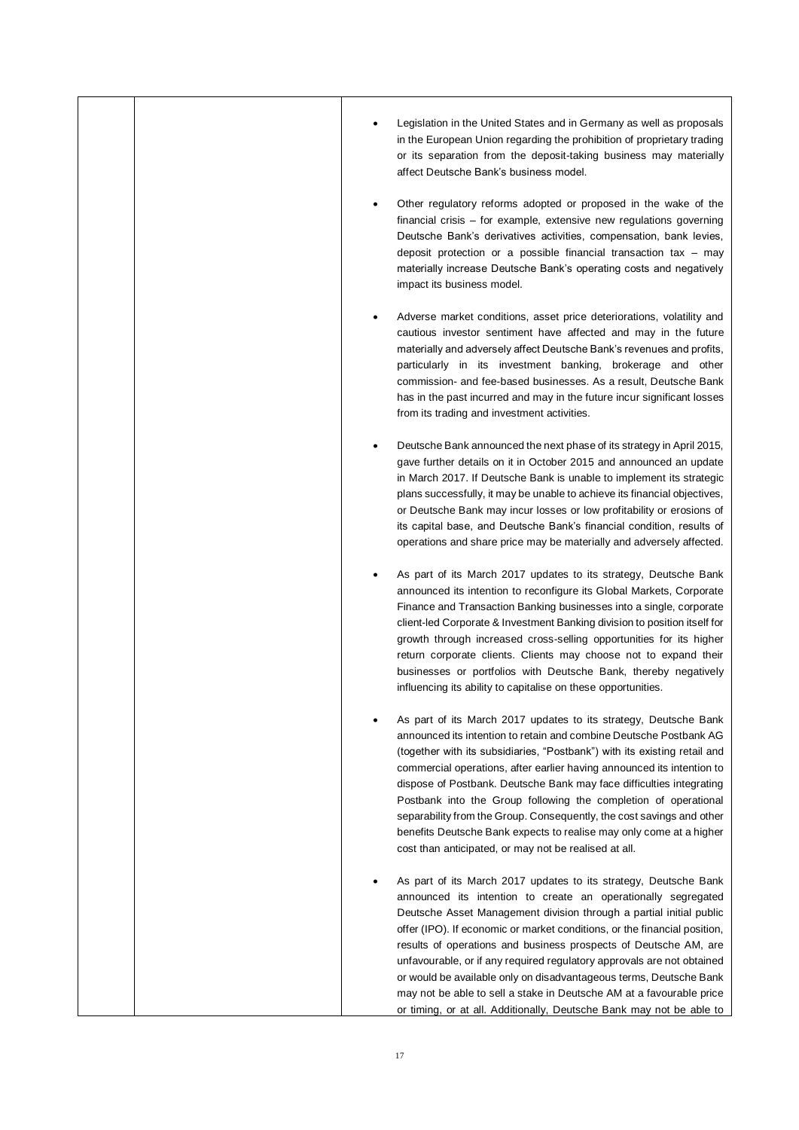|  |   | Legislation in the United States and in Germany as well as proposals                                                                                                                                                                                                                                                                                                                                                                                                                                                                                                                                                                                      |
|--|---|-----------------------------------------------------------------------------------------------------------------------------------------------------------------------------------------------------------------------------------------------------------------------------------------------------------------------------------------------------------------------------------------------------------------------------------------------------------------------------------------------------------------------------------------------------------------------------------------------------------------------------------------------------------|
|  |   | in the European Union regarding the prohibition of proprietary trading<br>or its separation from the deposit-taking business may materially<br>affect Deutsche Bank's business model.                                                                                                                                                                                                                                                                                                                                                                                                                                                                     |
|  | ٠ | Other regulatory reforms adopted or proposed in the wake of the<br>financial crisis – for example, extensive new regulations governing<br>Deutsche Bank's derivatives activities, compensation, bank levies,<br>deposit protection or a possible financial transaction tax $-$ may<br>materially increase Deutsche Bank's operating costs and negatively<br>impact its business model.                                                                                                                                                                                                                                                                    |
|  |   | Adverse market conditions, asset price deteriorations, volatility and<br>cautious investor sentiment have affected and may in the future<br>materially and adversely affect Deutsche Bank's revenues and profits,<br>particularly in its investment banking, brokerage and other<br>commission- and fee-based businesses. As a result, Deutsche Bank<br>has in the past incurred and may in the future incur significant losses<br>from its trading and investment activities.                                                                                                                                                                            |
|  |   | Deutsche Bank announced the next phase of its strategy in April 2015,<br>gave further details on it in October 2015 and announced an update<br>in March 2017. If Deutsche Bank is unable to implement its strategic<br>plans successfully, it may be unable to achieve its financial objectives,<br>or Deutsche Bank may incur losses or low profitability or erosions of<br>its capital base, and Deutsche Bank's financial condition, results of<br>operations and share price may be materially and adversely affected.                                                                                                                                |
|  |   | As part of its March 2017 updates to its strategy, Deutsche Bank<br>announced its intention to reconfigure its Global Markets, Corporate<br>Finance and Transaction Banking businesses into a single, corporate<br>client-led Corporate & Investment Banking division to position itself for<br>growth through increased cross-selling opportunities for its higher<br>return corporate clients. Clients may choose not to expand their<br>businesses or portfolios with Deutsche Bank, thereby negatively<br>influencing its ability to capitalise on these opportunities.                                                                               |
|  |   | As part of its March 2017 updates to its strategy, Deutsche Bank<br>announced its intention to retain and combine Deutsche Postbank AG<br>(together with its subsidiaries, "Postbank") with its existing retail and<br>commercial operations, after earlier having announced its intention to<br>dispose of Postbank. Deutsche Bank may face difficulties integrating<br>Postbank into the Group following the completion of operational<br>separability from the Group. Consequently, the cost savings and other<br>benefits Deutsche Bank expects to realise may only come at a higher<br>cost than anticipated, or may not be realised at all.         |
|  |   | As part of its March 2017 updates to its strategy, Deutsche Bank<br>announced its intention to create an operationally segregated<br>Deutsche Asset Management division through a partial initial public<br>offer (IPO). If economic or market conditions, or the financial position,<br>results of operations and business prospects of Deutsche AM, are<br>unfavourable, or if any required regulatory approvals are not obtained<br>or would be available only on disadvantageous terms, Deutsche Bank<br>may not be able to sell a stake in Deutsche AM at a favourable price<br>or timing, or at all. Additionally, Deutsche Bank may not be able to |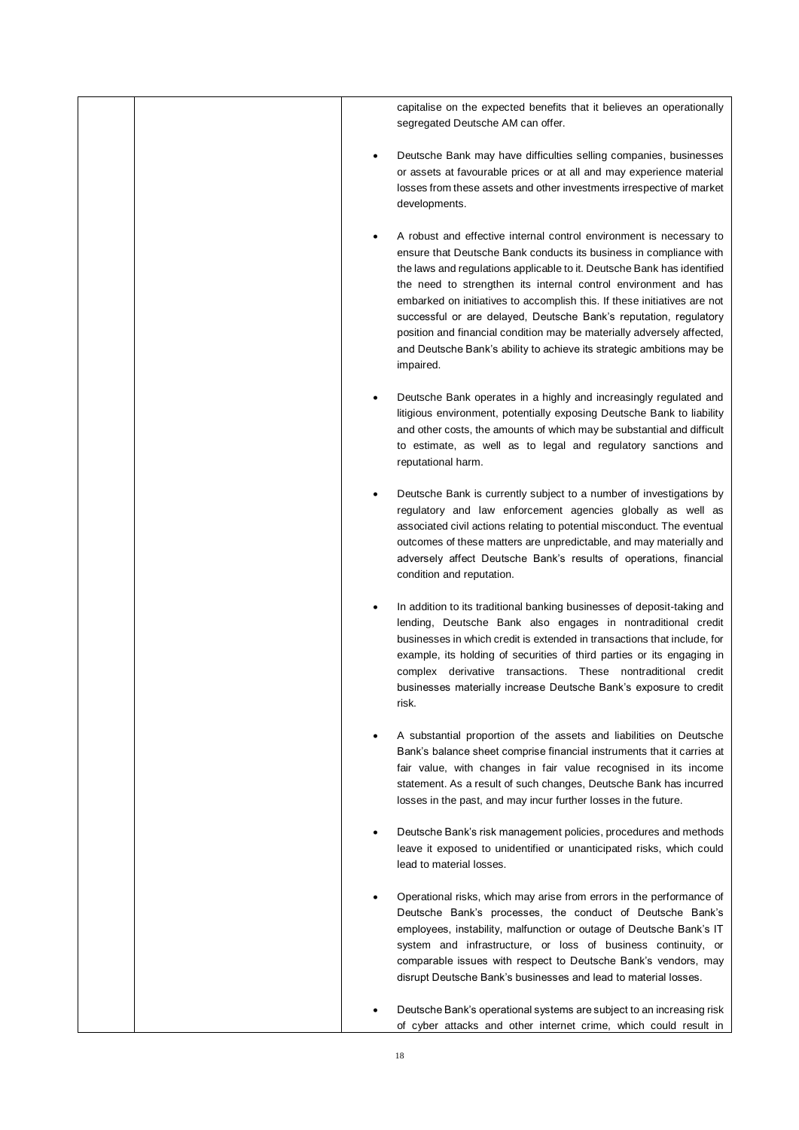|  | capitalise on the expected benefits that it believes an operationally<br>segregated Deutsche AM can offer.                                                                                                                                                                                                                                                                                                                                                                                                                                                                                               |
|--|----------------------------------------------------------------------------------------------------------------------------------------------------------------------------------------------------------------------------------------------------------------------------------------------------------------------------------------------------------------------------------------------------------------------------------------------------------------------------------------------------------------------------------------------------------------------------------------------------------|
|  | Deutsche Bank may have difficulties selling companies, businesses<br>or assets at favourable prices or at all and may experience material<br>losses from these assets and other investments irrespective of market<br>developments.                                                                                                                                                                                                                                                                                                                                                                      |
|  | A robust and effective internal control environment is necessary to<br>ensure that Deutsche Bank conducts its business in compliance with<br>the laws and regulations applicable to it. Deutsche Bank has identified<br>the need to strengthen its internal control environment and has<br>embarked on initiatives to accomplish this. If these initiatives are not<br>successful or are delayed, Deutsche Bank's reputation, regulatory<br>position and financial condition may be materially adversely affected,<br>and Deutsche Bank's ability to achieve its strategic ambitions may be<br>impaired. |
|  | Deutsche Bank operates in a highly and increasingly regulated and<br>litigious environment, potentially exposing Deutsche Bank to liability<br>and other costs, the amounts of which may be substantial and difficult<br>to estimate, as well as to legal and regulatory sanctions and<br>reputational harm.                                                                                                                                                                                                                                                                                             |
|  | Deutsche Bank is currently subject to a number of investigations by<br>regulatory and law enforcement agencies globally as well as<br>associated civil actions relating to potential misconduct. The eventual<br>outcomes of these matters are unpredictable, and may materially and<br>adversely affect Deutsche Bank's results of operations, financial<br>condition and reputation.                                                                                                                                                                                                                   |
|  | In addition to its traditional banking businesses of deposit-taking and<br>lending, Deutsche Bank also engages in nontraditional credit<br>businesses in which credit is extended in transactions that include, for<br>example, its holding of securities of third parties or its engaging in<br>complex derivative transactions. These nontraditional credit<br>businesses materially increase Deutsche Bank's exposure to credit<br>risk.                                                                                                                                                              |
|  | A substantial proportion of the assets and liabilities on Deutsche<br>Bank's balance sheet comprise financial instruments that it carries at<br>fair value, with changes in fair value recognised in its income<br>statement. As a result of such changes, Deutsche Bank has incurred<br>losses in the past, and may incur further losses in the future.                                                                                                                                                                                                                                                 |
|  | Deutsche Bank's risk management policies, procedures and methods<br>leave it exposed to unidentified or unanticipated risks, which could<br>lead to material losses.                                                                                                                                                                                                                                                                                                                                                                                                                                     |
|  | Operational risks, which may arise from errors in the performance of<br>Deutsche Bank's processes, the conduct of Deutsche Bank's<br>employees, instability, malfunction or outage of Deutsche Bank's IT<br>system and infrastructure, or loss of business continuity, or<br>comparable issues with respect to Deutsche Bank's vendors, may<br>disrupt Deutsche Bank's businesses and lead to material losses.                                                                                                                                                                                           |
|  | Deutsche Bank's operational systems are subject to an increasing risk<br>of cyber attacks and other internet crime, which could result in                                                                                                                                                                                                                                                                                                                                                                                                                                                                |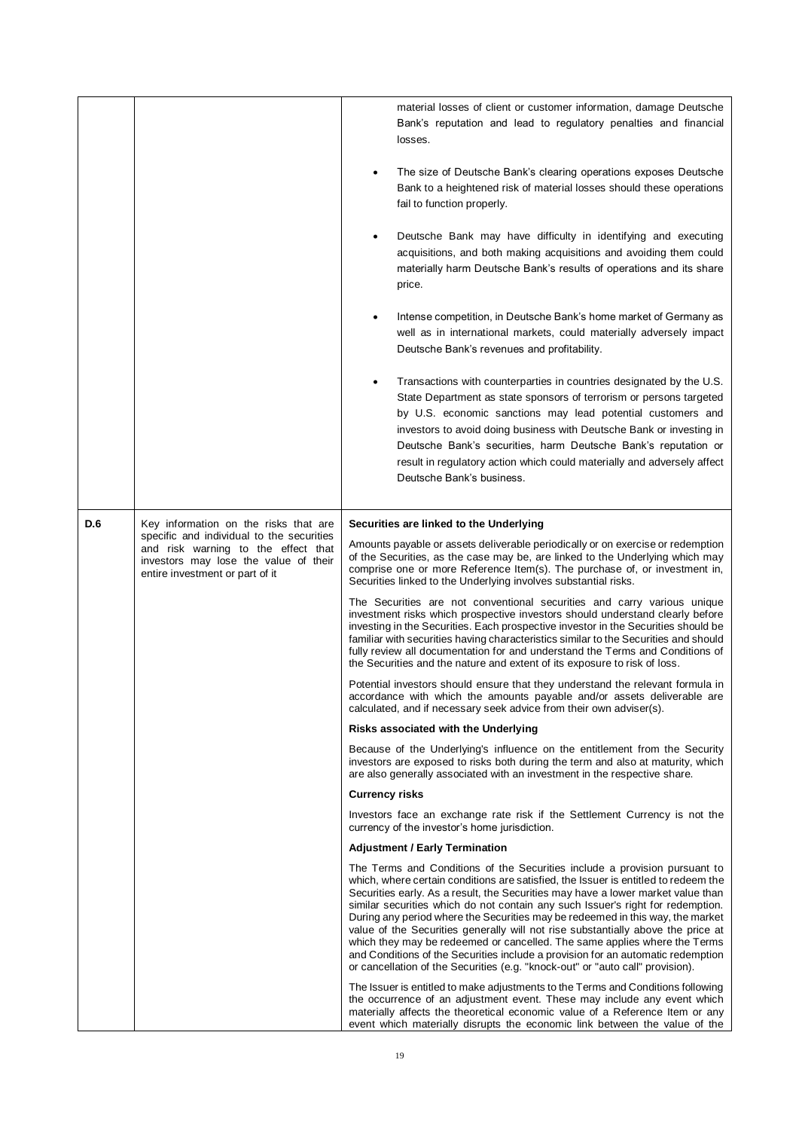|     |                                                                                                                                                              | material losses of client or customer information, damage Deutsche<br>Bank's reputation and lead to regulatory penalties and financial<br>losses.                                                                                                                                                                                                                                                                                                                                                                                                                                                                                                                                                                                                                 |
|-----|--------------------------------------------------------------------------------------------------------------------------------------------------------------|-------------------------------------------------------------------------------------------------------------------------------------------------------------------------------------------------------------------------------------------------------------------------------------------------------------------------------------------------------------------------------------------------------------------------------------------------------------------------------------------------------------------------------------------------------------------------------------------------------------------------------------------------------------------------------------------------------------------------------------------------------------------|
|     |                                                                                                                                                              | The size of Deutsche Bank's clearing operations exposes Deutsche<br>Bank to a heightened risk of material losses should these operations<br>fail to function properly.                                                                                                                                                                                                                                                                                                                                                                                                                                                                                                                                                                                            |
|     |                                                                                                                                                              | Deutsche Bank may have difficulty in identifying and executing<br>acquisitions, and both making acquisitions and avoiding them could<br>materially harm Deutsche Bank's results of operations and its share<br>price.                                                                                                                                                                                                                                                                                                                                                                                                                                                                                                                                             |
|     |                                                                                                                                                              | Intense competition, in Deutsche Bank's home market of Germany as<br>well as in international markets, could materially adversely impact<br>Deutsche Bank's revenues and profitability.                                                                                                                                                                                                                                                                                                                                                                                                                                                                                                                                                                           |
|     |                                                                                                                                                              | Transactions with counterparties in countries designated by the U.S.<br>State Department as state sponsors of terrorism or persons targeted<br>by U.S. economic sanctions may lead potential customers and<br>investors to avoid doing business with Deutsche Bank or investing in<br>Deutsche Bank's securities, harm Deutsche Bank's reputation or<br>result in regulatory action which could materially and adversely affect<br>Deutsche Bank's business.                                                                                                                                                                                                                                                                                                      |
| D.6 | Key information on the risks that are                                                                                                                        | Securities are linked to the Underlying                                                                                                                                                                                                                                                                                                                                                                                                                                                                                                                                                                                                                                                                                                                           |
|     | specific and individual to the securities<br>and risk warning to the effect that<br>investors may lose the value of their<br>entire investment or part of it | Amounts payable or assets deliverable periodically or on exercise or redemption<br>of the Securities, as the case may be, are linked to the Underlying which may<br>comprise one or more Reference Item(s). The purchase of, or investment in,<br>Securities linked to the Underlying involves substantial risks.                                                                                                                                                                                                                                                                                                                                                                                                                                                 |
|     |                                                                                                                                                              | The Securities are not conventional securities and carry various unique<br>investment risks which prospective investors should understand clearly before<br>investing in the Securities. Each prospective investor in the Securities should be<br>familiar with securities having characteristics similar to the Securities and should<br>fully review all documentation for and understand the Terms and Conditions of<br>the Securities and the nature and extent of its exposure to risk of loss.                                                                                                                                                                                                                                                              |
|     |                                                                                                                                                              | Potential investors should ensure that they understand the relevant formula in<br>accordance with which the amounts payable and/or assets deliverable are<br>calculated, and if necessary seek advice from their own adviser(s).                                                                                                                                                                                                                                                                                                                                                                                                                                                                                                                                  |
|     |                                                                                                                                                              | Risks associated with the Underlying                                                                                                                                                                                                                                                                                                                                                                                                                                                                                                                                                                                                                                                                                                                              |
|     |                                                                                                                                                              | Because of the Underlying's influence on the entitlement from the Security<br>investors are exposed to risks both during the term and also at maturity, which<br>are also generally associated with an investment in the respective share.                                                                                                                                                                                                                                                                                                                                                                                                                                                                                                                        |
|     |                                                                                                                                                              | <b>Currency risks</b>                                                                                                                                                                                                                                                                                                                                                                                                                                                                                                                                                                                                                                                                                                                                             |
|     |                                                                                                                                                              | Investors face an exchange rate risk if the Settlement Currency is not the<br>currency of the investor's home jurisdiction.                                                                                                                                                                                                                                                                                                                                                                                                                                                                                                                                                                                                                                       |
|     |                                                                                                                                                              | <b>Adjustment / Early Termination</b>                                                                                                                                                                                                                                                                                                                                                                                                                                                                                                                                                                                                                                                                                                                             |
|     |                                                                                                                                                              | The Terms and Conditions of the Securities include a provision pursuant to<br>which, where certain conditions are satisfied, the Issuer is entitled to redeem the<br>Securities early. As a result, the Securities may have a lower market value than<br>similar securities which do not contain any such Issuer's right for redemption.<br>During any period where the Securities may be redeemed in this way, the market<br>value of the Securities generally will not rise substantially above the price at<br>which they may be redeemed or cancelled. The same applies where the Terms<br>and Conditions of the Securities include a provision for an automatic redemption<br>or cancellation of the Securities (e.g. "knock-out" or "auto call" provision). |
|     |                                                                                                                                                              | The Issuer is entitled to make adjustments to the Terms and Conditions following<br>the occurrence of an adjustment event. These may include any event which<br>materially affects the theoretical economic value of a Reference Item or any<br>event which materially disrupts the economic link between the value of the                                                                                                                                                                                                                                                                                                                                                                                                                                        |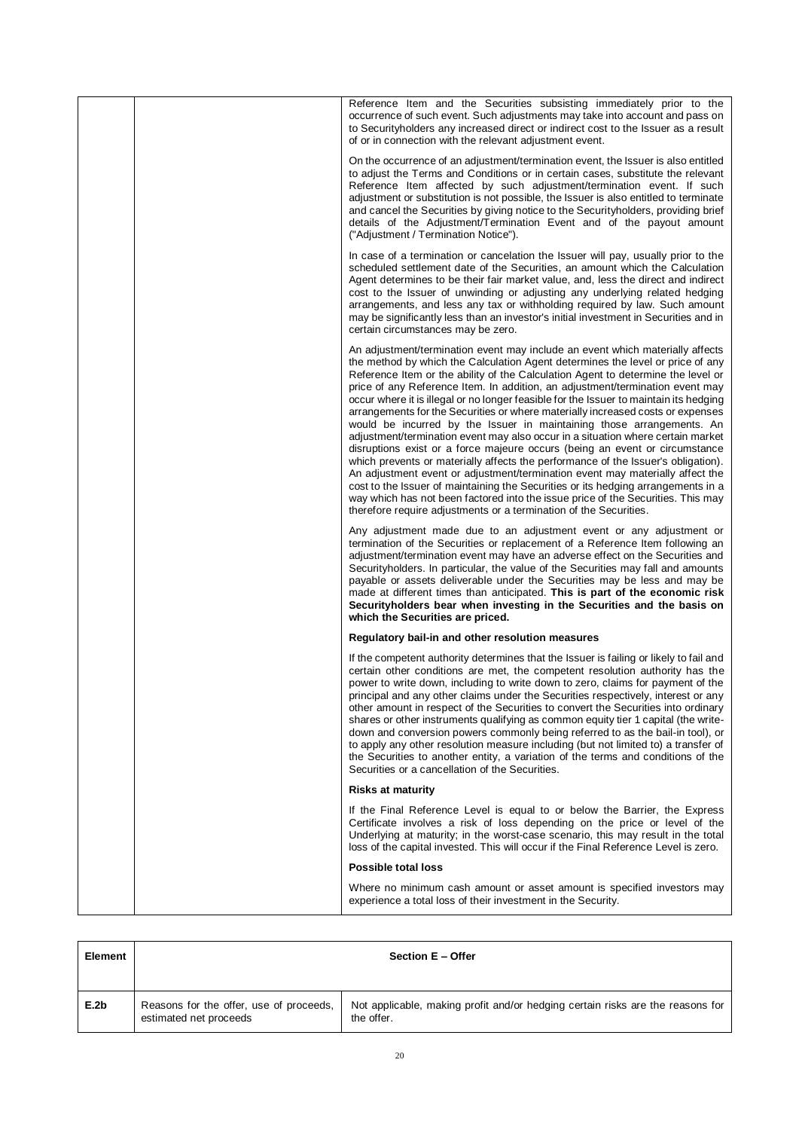|  | Reference Item and the Securities subsisting immediately prior to the<br>occurrence of such event. Such adjustments may take into account and pass on<br>to Securityholders any increased direct or indirect cost to the Issuer as a result<br>of or in connection with the relevant adjustment event.                                                                                                                                                                                                                                                                                                                                                                                                                                                                                                                                                                                                                                                                                                                                                                                                                                                                           |
|--|----------------------------------------------------------------------------------------------------------------------------------------------------------------------------------------------------------------------------------------------------------------------------------------------------------------------------------------------------------------------------------------------------------------------------------------------------------------------------------------------------------------------------------------------------------------------------------------------------------------------------------------------------------------------------------------------------------------------------------------------------------------------------------------------------------------------------------------------------------------------------------------------------------------------------------------------------------------------------------------------------------------------------------------------------------------------------------------------------------------------------------------------------------------------------------|
|  | On the occurrence of an adjustment/termination event, the Issuer is also entitled<br>to adjust the Terms and Conditions or in certain cases, substitute the relevant<br>Reference Item affected by such adjustment/termination event. If such<br>adjustment or substitution is not possible, the Issuer is also entitled to terminate<br>and cancel the Securities by giving notice to the Securityholders, providing brief<br>details of the Adjustment/Termination Event and of the payout amount<br>("Adjustment / Termination Notice").                                                                                                                                                                                                                                                                                                                                                                                                                                                                                                                                                                                                                                      |
|  | In case of a termination or cancelation the Issuer will pay, usually prior to the<br>scheduled settlement date of the Securities, an amount which the Calculation<br>Agent determines to be their fair market value, and, less the direct and indirect<br>cost to the Issuer of unwinding or adjusting any underlying related hedging<br>arrangements, and less any tax or withholding required by law. Such amount<br>may be significantly less than an investor's initial investment in Securities and in<br>certain circumstances may be zero.                                                                                                                                                                                                                                                                                                                                                                                                                                                                                                                                                                                                                                |
|  | An adjustment/termination event may include an event which materially affects<br>the method by which the Calculation Agent determines the level or price of any<br>Reference Item or the ability of the Calculation Agent to determine the level or<br>price of any Reference Item. In addition, an adjustment/termination event may<br>occur where it is illegal or no longer feasible for the Issuer to maintain its hedging<br>arrangements for the Securities or where materially increased costs or expenses<br>would be incurred by the Issuer in maintaining those arrangements. An<br>adjustment/termination event may also occur in a situation where certain market<br>disruptions exist or a force majeure occurs (being an event or circumstance<br>which prevents or materially affects the performance of the Issuer's obligation).<br>An adjustment event or adjustment/termination event may materially affect the<br>cost to the Issuer of maintaining the Securities or its hedging arrangements in a<br>way which has not been factored into the issue price of the Securities. This may<br>therefore require adjustments or a termination of the Securities. |
|  | Any adjustment made due to an adjustment event or any adjustment or<br>termination of the Securities or replacement of a Reference Item following an<br>adjustment/termination event may have an adverse effect on the Securities and<br>Security holders. In particular, the value of the Securities may fall and amounts<br>payable or assets deliverable under the Securities may be less and may be<br>made at different times than anticipated. This is part of the economic risk<br>Securityholders bear when investing in the Securities and the basis on<br>which the Securities are priced.                                                                                                                                                                                                                                                                                                                                                                                                                                                                                                                                                                             |
|  | Regulatory bail-in and other resolution measures                                                                                                                                                                                                                                                                                                                                                                                                                                                                                                                                                                                                                                                                                                                                                                                                                                                                                                                                                                                                                                                                                                                                 |
|  | If the competent authority determines that the Issuer is failing or likely to fail and<br>certain other conditions are met, the competent resolution authority has the<br>power to write down, including to write down to zero, claims for payment of the<br>principal and any other claims under the Securities respectively, interest or any<br>other amount in respect of the Securities to convert the Securities into ordinary<br>shares or other instruments qualifying as common equity tier 1 capital (the write-<br>down and conversion powers commonly being referred to as the bail-in tool), or<br>to apply any other resolution measure including (but not limited to) a transfer of<br>the Securities to another entity, a variation of the terms and conditions of the<br>Securities or a cancellation of the Securities.                                                                                                                                                                                                                                                                                                                                         |
|  | <b>Risks at maturity</b>                                                                                                                                                                                                                                                                                                                                                                                                                                                                                                                                                                                                                                                                                                                                                                                                                                                                                                                                                                                                                                                                                                                                                         |
|  | If the Final Reference Level is equal to or below the Barrier, the Express<br>Certificate involves a risk of loss depending on the price or level of the<br>Underlying at maturity; in the worst-case scenario, this may result in the total<br>loss of the capital invested. This will occur if the Final Reference Level is zero.                                                                                                                                                                                                                                                                                                                                                                                                                                                                                                                                                                                                                                                                                                                                                                                                                                              |
|  | Possible total loss                                                                                                                                                                                                                                                                                                                                                                                                                                                                                                                                                                                                                                                                                                                                                                                                                                                                                                                                                                                                                                                                                                                                                              |
|  | Where no minimum cash amount or asset amount is specified investors may<br>experience a total loss of their investment in the Security.                                                                                                                                                                                                                                                                                                                                                                                                                                                                                                                                                                                                                                                                                                                                                                                                                                                                                                                                                                                                                                          |

| Element |                                                                   | Section E - Offer                                                                            |
|---------|-------------------------------------------------------------------|----------------------------------------------------------------------------------------------|
| E.2b    | Reasons for the offer, use of proceeds,<br>estimated net proceeds | Not applicable, making profit and/or hedging certain risks are the reasons for<br>the offer. |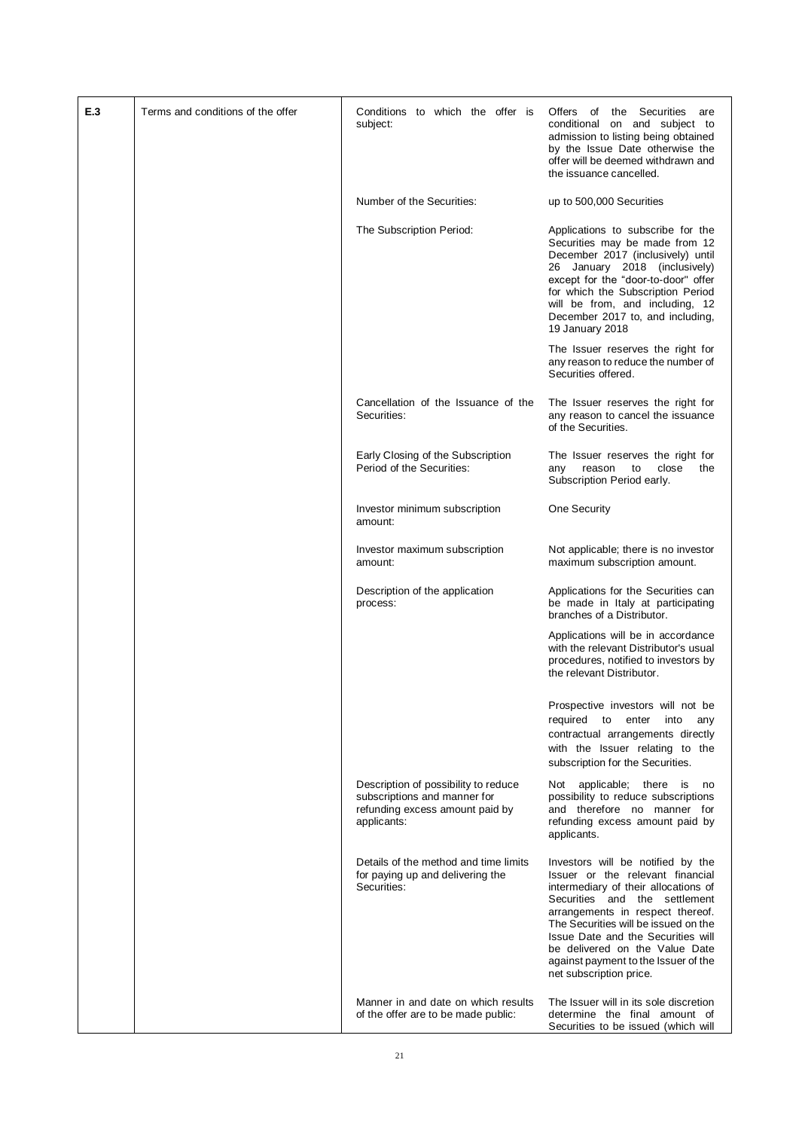| E.3 | Terms and conditions of the offer | Conditions to which the offer is<br>subject:                                                                           | of the Securities<br>Offers<br>are<br>conditional on and subject to<br>admission to listing being obtained<br>by the Issue Date otherwise the<br>offer will be deemed withdrawn and<br>the issuance cancelled.                                                                                                                                                        |
|-----|-----------------------------------|------------------------------------------------------------------------------------------------------------------------|-----------------------------------------------------------------------------------------------------------------------------------------------------------------------------------------------------------------------------------------------------------------------------------------------------------------------------------------------------------------------|
|     |                                   | Number of the Securities:                                                                                              | up to 500,000 Securities                                                                                                                                                                                                                                                                                                                                              |
|     |                                   | The Subscription Period:                                                                                               | Applications to subscribe for the<br>Securities may be made from 12<br>December 2017 (inclusively) until<br>26 January 2018 (inclusively)<br>except for the "door-to-door" offer<br>for which the Subscription Period<br>will be from, and including, 12<br>December 2017 to, and including,<br>19 January 2018                                                       |
|     |                                   |                                                                                                                        | The Issuer reserves the right for<br>any reason to reduce the number of<br>Securities offered.                                                                                                                                                                                                                                                                        |
|     |                                   | Cancellation of the Issuance of the<br>Securities:                                                                     | The Issuer reserves the right for<br>any reason to cancel the issuance<br>of the Securities.                                                                                                                                                                                                                                                                          |
|     |                                   | Early Closing of the Subscription<br>Period of the Securities:                                                         | The Issuer reserves the right for<br>close<br>reason<br>to<br>the<br>any<br>Subscription Period early.                                                                                                                                                                                                                                                                |
|     |                                   | Investor minimum subscription<br>amount:                                                                               | One Security                                                                                                                                                                                                                                                                                                                                                          |
|     |                                   | Investor maximum subscription<br>amount:                                                                               | Not applicable; there is no investor<br>maximum subscription amount.                                                                                                                                                                                                                                                                                                  |
|     |                                   | Description of the application<br>process:                                                                             | Applications for the Securities can<br>be made in Italy at participating<br>branches of a Distributor.                                                                                                                                                                                                                                                                |
|     |                                   |                                                                                                                        | Applications will be in accordance<br>with the relevant Distributor's usual<br>procedures, notified to investors by<br>the relevant Distributor.                                                                                                                                                                                                                      |
|     |                                   |                                                                                                                        | Prospective investors will not be<br>required<br>to<br>enter<br>into<br>any<br>contractual arrangements directly<br>with the Issuer relating to the<br>subscription for the Securities.                                                                                                                                                                               |
|     |                                   | Description of possibility to reduce<br>subscriptions and manner for<br>refunding excess amount paid by<br>applicants: | Not applicable; there is<br>no<br>possibility to reduce subscriptions<br>and therefore no manner for<br>refunding excess amount paid by<br>applicants.                                                                                                                                                                                                                |
|     |                                   | Details of the method and time limits<br>for paying up and delivering the<br>Securities:                               | Investors will be notified by the<br>Issuer or the relevant financial<br>intermediary of their allocations of<br>Securities and the settlement<br>arrangements in respect thereof.<br>The Securities will be issued on the<br>Issue Date and the Securities will<br>be delivered on the Value Date<br>against payment to the Issuer of the<br>net subscription price. |
|     |                                   | Manner in and date on which results<br>of the offer are to be made public:                                             | The Issuer will in its sole discretion<br>determine the final amount of<br>Securities to be issued (which will                                                                                                                                                                                                                                                        |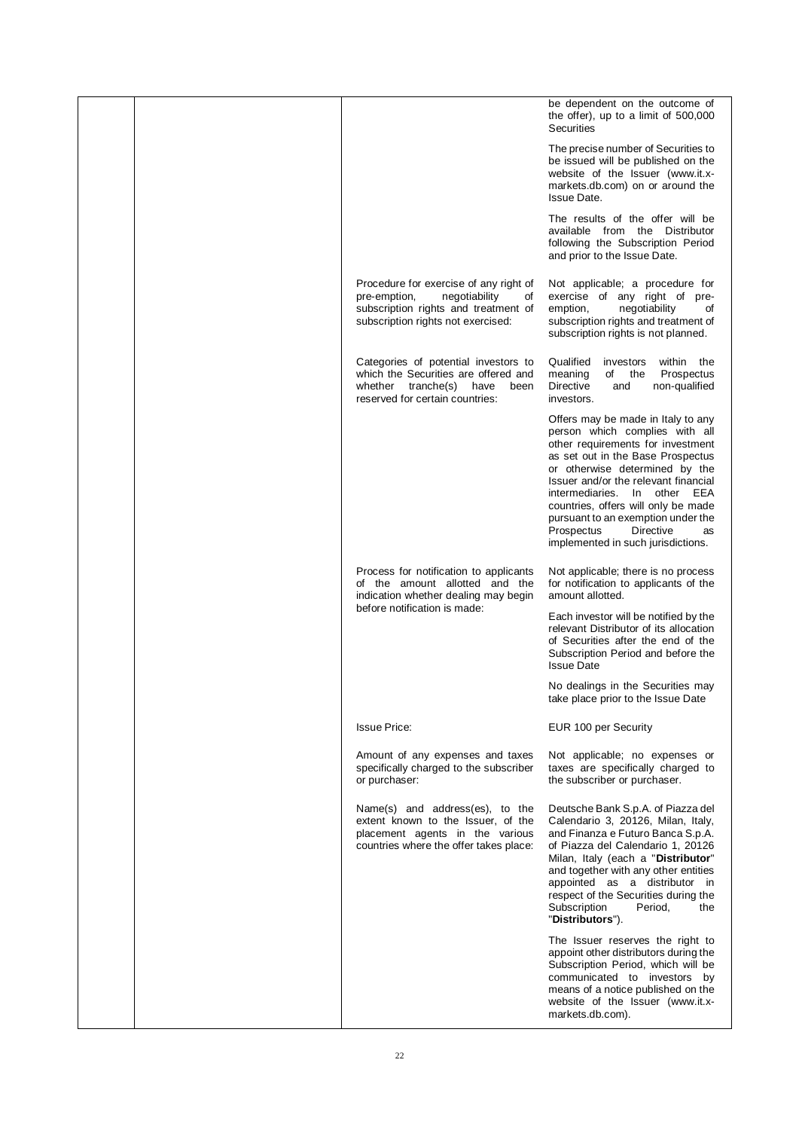|  |                                                                                                                                                             | be dependent on the outcome of<br>the offer), up to a limit of 500,000<br>Securities                                                                                                                                                                                                                                                                                                                            |
|--|-------------------------------------------------------------------------------------------------------------------------------------------------------------|-----------------------------------------------------------------------------------------------------------------------------------------------------------------------------------------------------------------------------------------------------------------------------------------------------------------------------------------------------------------------------------------------------------------|
|  |                                                                                                                                                             | The precise number of Securities to<br>be issued will be published on the<br>website of the Issuer (www.it.x-<br>markets.db.com) on or around the<br><b>Issue Date.</b>                                                                                                                                                                                                                                         |
|  |                                                                                                                                                             | The results of the offer will be<br>available from the Distributor<br>following the Subscription Period<br>and prior to the Issue Date.                                                                                                                                                                                                                                                                         |
|  | Procedure for exercise of any right of<br>pre-emption,<br>negotiability<br>of<br>subscription rights and treatment of<br>subscription rights not exercised: | Not applicable; a procedure for<br>exercise of any right of pre-<br>emption,<br>negotiability<br>of<br>subscription rights and treatment of<br>subscription rights is not planned.                                                                                                                                                                                                                              |
|  | Categories of potential investors to<br>which the Securities are offered and<br>whether tranche(s)<br>have<br>been<br>reserved for certain countries:       | Qualified<br>within the<br>investors<br>meaning<br>Prospectus<br>of the<br>Directive<br>non-qualified<br>and<br>investors.                                                                                                                                                                                                                                                                                      |
|  |                                                                                                                                                             | Offers may be made in Italy to any<br>person which complies with all<br>other requirements for investment<br>as set out in the Base Prospectus<br>or otherwise determined by the<br>Issuer and/or the relevant financial<br>intermediaries.<br>In other EEA<br>countries, offers will only be made<br>pursuant to an exemption under the<br>Prospectus<br>Directive<br>as<br>implemented in such jurisdictions. |
|  | Process for notification to applicants<br>of the amount allotted and the<br>indication whether dealing may begin                                            | Not applicable; there is no process<br>for notification to applicants of the<br>amount allotted.                                                                                                                                                                                                                                                                                                                |
|  | before notification is made:                                                                                                                                | Each investor will be notified by the<br>relevant Distributor of its allocation<br>of Securities after the end of the<br>Subscription Period and before the<br><b>Issue Date</b>                                                                                                                                                                                                                                |
|  |                                                                                                                                                             | No dealings in the Securities may<br>take place prior to the Issue Date                                                                                                                                                                                                                                                                                                                                         |
|  | <b>Issue Price:</b>                                                                                                                                         | EUR 100 per Security                                                                                                                                                                                                                                                                                                                                                                                            |
|  | Amount of any expenses and taxes<br>specifically charged to the subscriber<br>or purchaser:                                                                 | Not applicable; no expenses or<br>taxes are specifically charged to<br>the subscriber or purchaser.                                                                                                                                                                                                                                                                                                             |
|  | Name(s) and address(es), to the<br>extent known to the Issuer, of the<br>placement agents in the various<br>countries where the offer takes place:          | Deutsche Bank S.p.A. of Piazza del<br>Calendario 3, 20126, Milan, Italy,<br>and Finanza e Futuro Banca S.p.A.<br>of Piazza del Calendario 1, 20126<br>Milan, Italy (each a "Distributor"<br>and together with any other entities<br>appointed as a distributor in<br>respect of the Securities during the<br>Subscription<br>Period,<br>the<br>"Distributors").                                                 |
|  |                                                                                                                                                             | The Issuer reserves the right to<br>appoint other distributors during the<br>Subscription Period, which will be<br>communicated to investors by<br>means of a notice published on the<br>website of the Issuer (www.it.x-<br>markets.db.com).                                                                                                                                                                   |